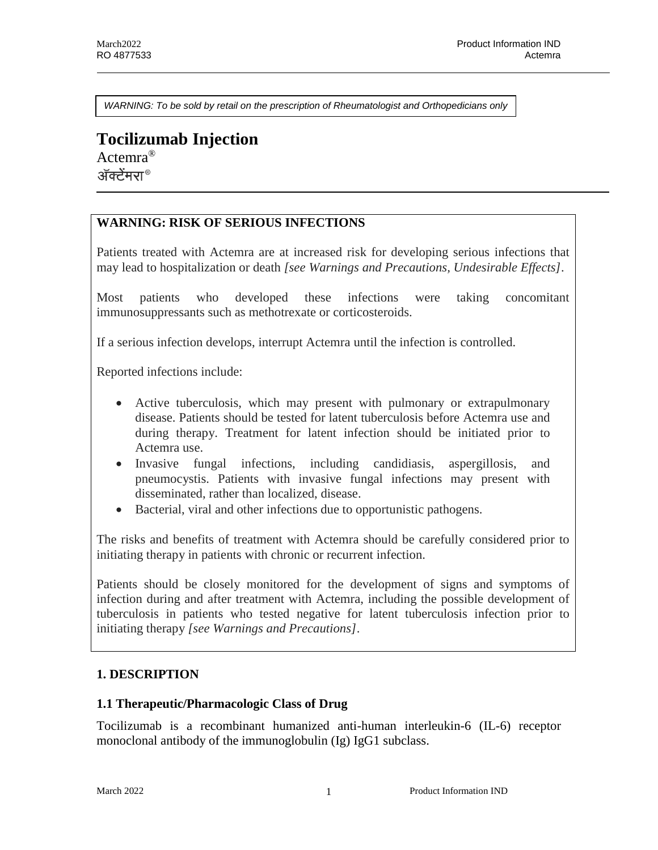*WARNING: To be sold by retail on the prescription of Rheumatologist and Orthopedicians only*

# **Tocilizumab Injection** Actemra®

ॲक्टेंमरा®

# **WARNING: RISK OF SERIOUS INFECTIONS**

Patients treated with Actemra are at increased risk for developing serious infections that may lead to hospitalization or death *[see Warnings and Precautions, Undesirable Effects]*.

Most patients who developed these infections were taking concomitant immunosuppressants such as methotrexate or corticosteroids.

If a serious infection develops, interrupt Actemra until the infection is controlled.

Reported infections include:

- Active tuberculosis, which may present with pulmonary or extrapulmonary disease. Patients should be tested for latent tuberculosis before Actemra use and during therapy. Treatment for latent infection should be initiated prior to Actemra use.
- Invasive fungal infections, including candidiasis, aspergillosis, and pneumocystis. Patients with invasive fungal infections may present with disseminated, rather than localized, disease.
- Bacterial, viral and other infections due to opportunistic pathogens.

The risks and benefits of treatment with Actemra should be carefully considered prior to initiating therapy in patients with chronic or recurrent infection.

Patients should be closely monitored for the development of signs and symptoms of infection during and after treatment with Actemra, including the possible development of tuberculosis in patients who tested negative for latent tuberculosis infection prior to initiating therapy *[see Warnings and Precautions]*.

# **1. DESCRIPTION**

#### **1.1 Therapeutic/Pharmacologic Class of Drug**

Tocilizumab is a recombinant humanized anti-human interleukin-6 (IL-6) receptor monoclonal antibody of the immunoglobulin (Ig) IgG1 subclass.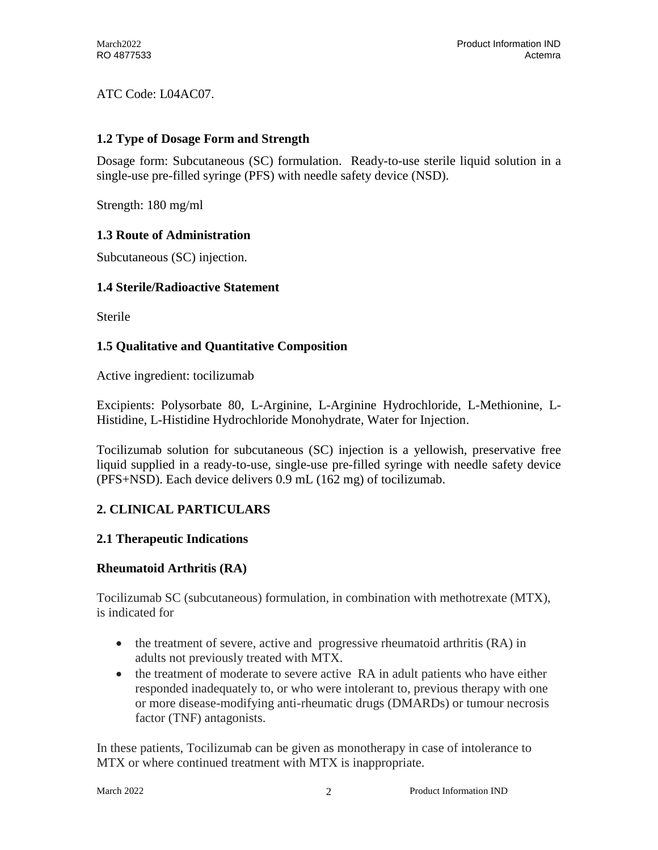ATC Code: L04AC07.

# **1.2 Type of Dosage Form and Strength**

Dosage form: Subcutaneous (SC) formulation. Ready-to-use sterile liquid solution in a single-use pre-filled syringe (PFS) with needle safety device (NSD).

Strength: 180 mg/ml

# **1.3 Route of Administration**

Subcutaneous (SC) injection.

# **1.4 Sterile/Radioactive Statement**

**Sterile** 

# **1.5 Qualitative and Quantitative Composition**

Active ingredient: tocilizumab

Excipients: Polysorbate 80, L-Arginine, L-Arginine Hydrochloride, L-Methionine, L-Histidine, L-Histidine Hydrochloride Monohydrate, Water for Injection.

Tocilizumab solution for subcutaneous (SC) injection is a yellowish, preservative free liquid supplied in a ready-to-use, single-use pre-filled syringe with needle safety device (PFS+NSD). Each device delivers 0.9 mL (162 mg) of tocilizumab.

# **2. CLINICAL PARTICULARS**

# **2.1 Therapeutic Indications**

# **Rheumatoid Arthritis (RA)**

Tocilizumab SC (subcutaneous) formulation, in combination with methotrexate (MTX), is indicated for

- the treatment of severe, active and progressive rheumatoid arthritis (RA) in adults not previously treated with MTX.
- the treatment of moderate to severe active RA in adult patients who have either responded inadequately to, or who were intolerant to, previous therapy with one or more disease-modifying anti-rheumatic drugs (DMARDs) or tumour necrosis factor (TNF) antagonists.

In these patients, Tocilizumab can be given as monotherapy in case of intolerance to MTX or where continued treatment with MTX is inappropriate.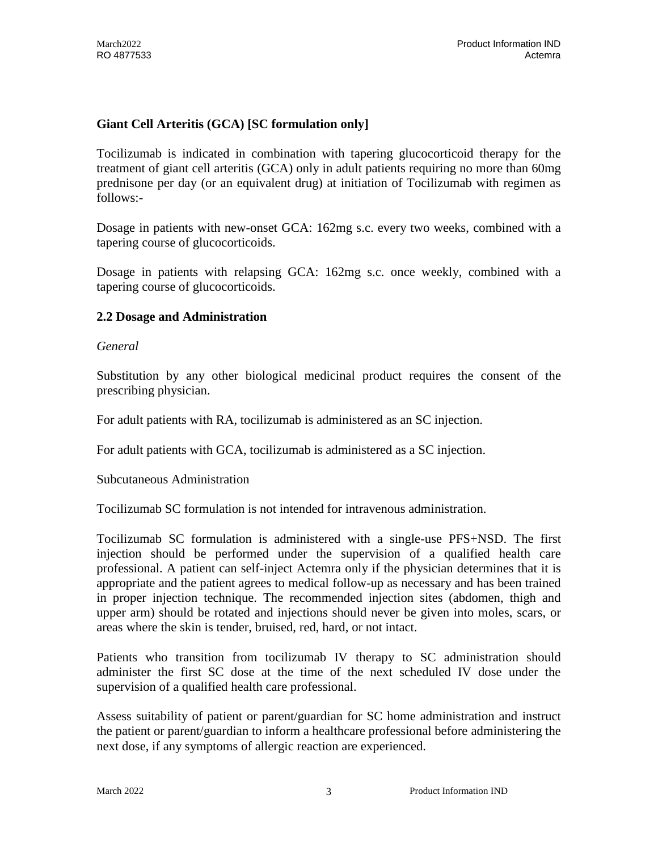### **Giant Cell Arteritis (GCA) [SC formulation only]**

Tocilizumab is indicated in combination with tapering glucocorticoid therapy for the treatment of giant cell arteritis (GCA) only in adult patients requiring no more than 60mg prednisone per day (or an equivalent drug) at initiation of Tocilizumab with regimen as follows:-

Dosage in patients with new-onset GCA: 162mg s.c. every two weeks, combined with a tapering course of glucocorticoids.

Dosage in patients with relapsing GCA: 162mg s.c. once weekly, combined with a tapering course of glucocorticoids.

#### **2.2 Dosage and Administration**

#### *General*

Substitution by any other biological medicinal product requires the consent of the prescribing physician.

For adult patients with RA, tocilizumab is administered as an SC injection.

For adult patients with GCA, tocilizumab is administered as a SC injection.

Subcutaneous Administration

Tocilizumab SC formulation is not intended for intravenous administration.

Tocilizumab SC formulation is administered with a single-use PFS+NSD. The first injection should be performed under the supervision of a qualified health care professional. A patient can self-inject Actemra only if the physician determines that it is appropriate and the patient agrees to medical follow-up as necessary and has been trained in proper injection technique. The recommended injection sites (abdomen, thigh and upper arm) should be rotated and injections should never be given into moles, scars, or areas where the skin is tender, bruised, red, hard, or not intact.

Patients who transition from tocilizumab IV therapy to SC administration should administer the first SC dose at the time of the next scheduled IV dose under the supervision of a qualified health care professional.

Assess suitability of patient or parent/guardian for SC home administration and instruct the patient or parent/guardian to inform a healthcare professional before administering the next dose, if any symptoms of allergic reaction are experienced.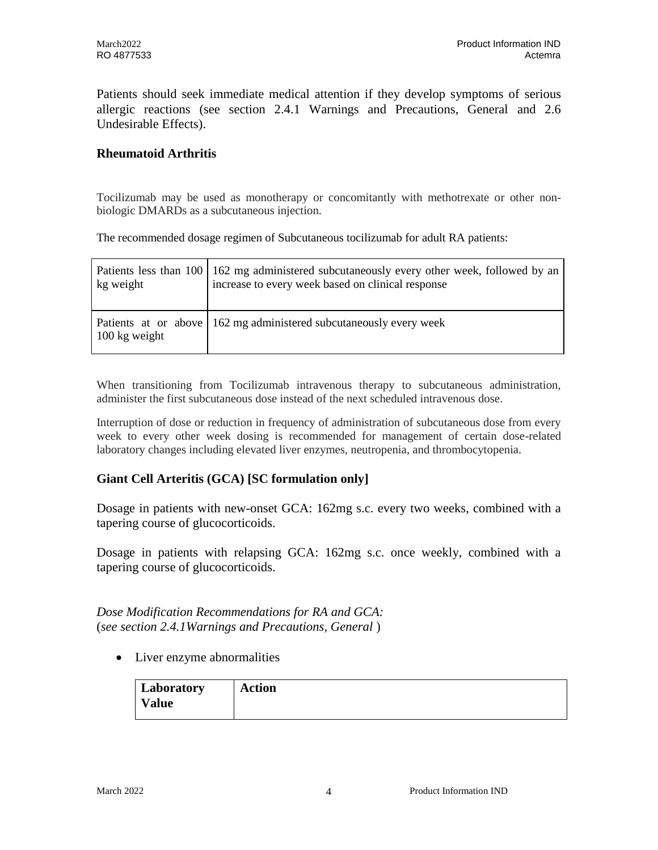Patients should seek immediate medical attention if they develop symptoms of serious allergic reactions (see section 2.4.1 Warnings and Precautions, General and 2.6 Undesirable Effects).

#### **Rheumatoid Arthritis**

Tocilizumab may be used as monotherapy or concomitantly with methotrexate or other nonbiologic DMARDs as a subcutaneous injection.

The recommended dosage regimen of Subcutaneous tocilizumab for adult RA patients:

| kg weight               | Patients less than 100   162 mg administered subcutaneously every other week, followed by an<br>increase to every week based on clinical response |
|-------------------------|---------------------------------------------------------------------------------------------------------------------------------------------------|
| $100 \text{ kg weight}$ | Patients at or above   162 mg administered subcutaneously every week                                                                              |

When transitioning from Tocilizumab intravenous therapy to subcutaneous administration, administer the first subcutaneous dose instead of the next scheduled intravenous dose.

Interruption of dose or reduction in frequency of administration of subcutaneous dose from every week to every other week dosing is recommended for management of certain dose-related laboratory changes including elevated liver enzymes, neutropenia, and thrombocytopenia.

#### **Giant Cell Arteritis (GCA) [SC formulation only]**

Dosage in patients with new-onset GCA: 162mg s.c. every two weeks, combined with a tapering course of glucocorticoids.

Dosage in patients with relapsing GCA: 162mg s.c. once weekly, combined with a tapering course of glucocorticoids.

*Dose Modification Recommendations for RA and GCA:* (*see section 2.4.1Warnings and Precautions, General* )

• Liver enzyme abnormalities

| Laboratory   | Action |
|--------------|--------|
| <b>Value</b> |        |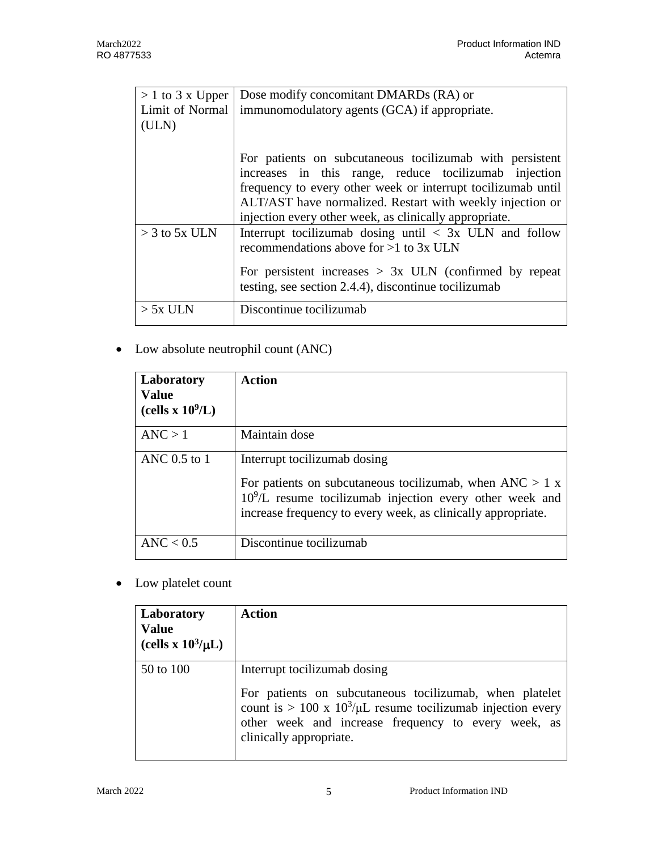| $> 1$ to 3 x Upper | Dose modify concomitant DMARDs (RA) or                                                                                     |
|--------------------|----------------------------------------------------------------------------------------------------------------------------|
| Limit of Normal    | immunomodulatory agents (GCA) if appropriate.                                                                              |
| (ULN)              |                                                                                                                            |
|                    | For patients on subcutaneous tocilizemab with persistent                                                                   |
|                    | increases in this range, reduce to cilizum ab injection                                                                    |
|                    | frequency to every other week or interrupt to cilizumab until<br>ALT/AST have normalized. Restart with weekly injection or |
|                    | injection every other week, as clinically appropriate.                                                                     |
| $>$ 3 to 5x ULN    | Interrupt toollizumab dosing until $\langle 3x \rangle$ ULN and follow<br>recommendations above for $>1$ to 3x ULN         |
|                    | For persistent increases $> 3x$ ULN (confirmed by repeat<br>testing, see section 2.4.4), discontinue to cilizumab          |
| $> 5x$ ULN         | Discontinue tocilizumab                                                                                                    |

• Low absolute neutrophil count (ANC)

| Laboratory<br><b>Value</b><br>(cells x $10^9$ /L) | <b>Action</b>                                                                                                               |
|---------------------------------------------------|-----------------------------------------------------------------------------------------------------------------------------|
| ANC > 1                                           | Maintain dose                                                                                                               |
| ANC $0.5$ to 1                                    | Interrupt tocilizumab dosing<br>For patients on subcutaneous tocilizumab, when $\text{ANC} > 1 \text{ x}$                   |
|                                                   | $10^9$ /L resume tocilizumab injection every other week and<br>increase frequency to every week, as clinically appropriate. |
| $\text{ANC} < 0.5$                                | Discontinue tocilizumab                                                                                                     |

• Low platelet count

| Laboratory<br><b>Value</b><br>(cells x $10^3/\mu L$ ) | <b>Action</b>                                                                                                                                                                                                                               |
|-------------------------------------------------------|---------------------------------------------------------------------------------------------------------------------------------------------------------------------------------------------------------------------------------------------|
| 50 to 100                                             | Interrupt tocilizumab dosing<br>For patients on subcutaneous tocilizumab, when platelet<br>count is > 100 x $10^3/\mu$ resume tocilizumab injection every<br>other week and increase frequency to every week, as<br>clinically appropriate. |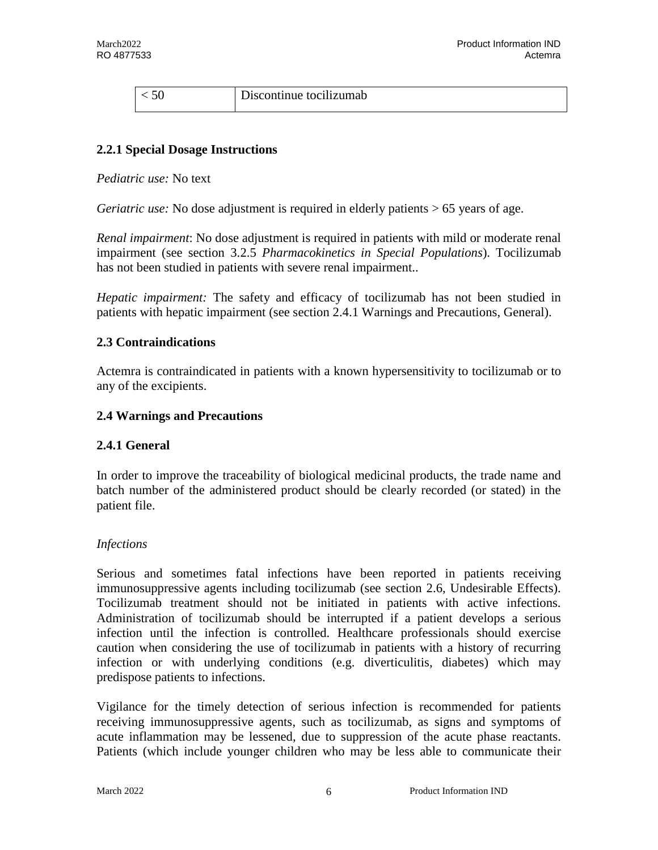| Discontinue tocilizumab |
|-------------------------|
|-------------------------|

#### **2.2.1 Special Dosage Instructions**

*Pediatric use:* No text

*Geriatric use:* No dose adjustment is required in elderly patients  $> 65$  years of age.

*Renal impairment*: No dose adjustment is required in patients with mild or moderate renal impairment (see section 3.2.5 *Pharmacokinetics in Special Populations*). Tocilizumab has not been studied in patients with severe renal impairment..

*Hepatic impairment:* The safety and efficacy of tocilizumab has not been studied in patients with hepatic impairment (see section 2.4.1 Warnings and Precautions, General).

#### **2.3 Contraindications**

Actemra is contraindicated in patients with a known hypersensitivity to tocilizumab or to any of the excipients.

#### **2.4 Warnings and Precautions**

#### **2.4.1 General**

In order to improve the traceability of biological medicinal products, the trade name and batch number of the administered product should be clearly recorded (or stated) in the patient file.

#### *Infections*

Serious and sometimes fatal infections have been reported in patients receiving immunosuppressive agents including tocilizumab (see section 2.6, Undesirable Effects). Tocilizumab treatment should not be initiated in patients with active infections. Administration of tocilizumab should be interrupted if a patient develops a serious infection until the infection is controlled. Healthcare professionals should exercise caution when considering the use of tocilizumab in patients with a history of recurring infection or with underlying conditions (e.g. diverticulitis, diabetes) which may predispose patients to infections.

Vigilance for the timely detection of serious infection is recommended for patients receiving immunosuppressive agents, such as tocilizumab, as signs and symptoms of acute inflammation may be lessened, due to suppression of the acute phase reactants. Patients (which include younger children who may be less able to communicate their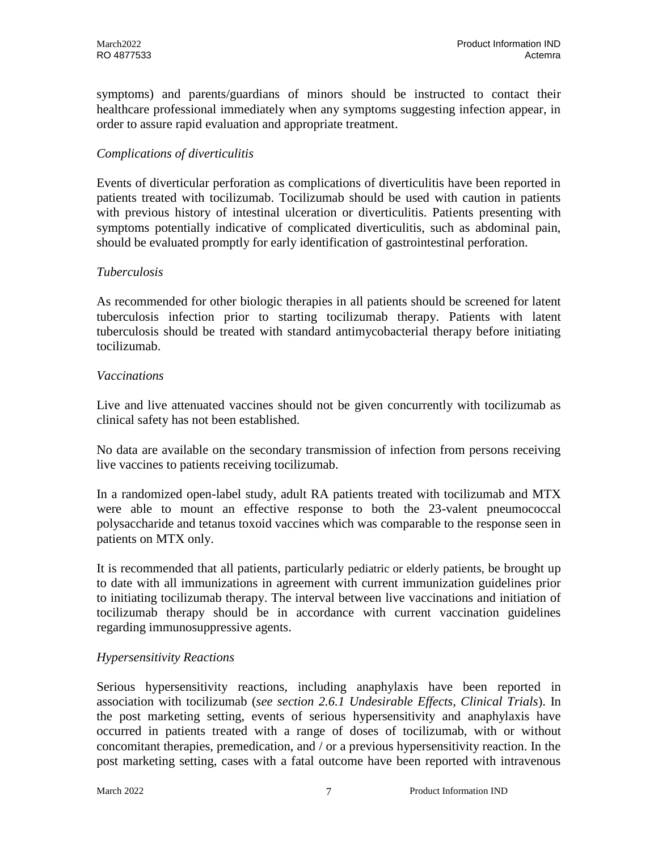symptoms) and parents/guardians of minors should be instructed to contact their healthcare professional immediately when any symptoms suggesting infection appear, in order to assure rapid evaluation and appropriate treatment.

### *Complications of diverticulitis*

Events of diverticular perforation as complications of diverticulitis have been reported in patients treated with tocilizumab. Tocilizumab should be used with caution in patients with previous history of intestinal ulceration or diverticulitis. Patients presenting with symptoms potentially indicative of complicated diverticulitis, such as abdominal pain, should be evaluated promptly for early identification of gastrointestinal perforation.

#### *Tuberculosis*

As recommended for other biologic therapies in all patients should be screened for latent tuberculosis infection prior to starting tocilizumab therapy. Patients with latent tuberculosis should be treated with standard antimycobacterial therapy before initiating tocilizumab.

#### *Vaccinations*

Live and live attenuated vaccines should not be given concurrently with tocilizumab as clinical safety has not been established.

No data are available on the secondary transmission of infection from persons receiving live vaccines to patients receiving tocilizumab.

In a randomized open-label study, adult RA patients treated with tocilizumab and MTX were able to mount an effective response to both the 23-valent pneumococcal polysaccharide and tetanus toxoid vaccines which was comparable to the response seen in patients on MTX only.

It is recommended that all patients, particularly pediatric or elderly patients, be brought up to date with all immunizations in agreement with current immunization guidelines prior to initiating tocilizumab therapy. The interval between live vaccinations and initiation of tocilizumab therapy should be in accordance with current vaccination guidelines regarding immunosuppressive agents.

#### *Hypersensitivity Reactions*

Serious hypersensitivity reactions, including anaphylaxis have been reported in association with tocilizumab (*see section 2.6.1 Undesirable Effects, Clinical Trials*). In the post marketing setting, events of serious hypersensitivity and anaphylaxis have occurred in patients treated with a range of doses of tocilizumab, with or without concomitant therapies, premedication, and / or a previous hypersensitivity reaction. In the post marketing setting, cases with a fatal outcome have been reported with intravenous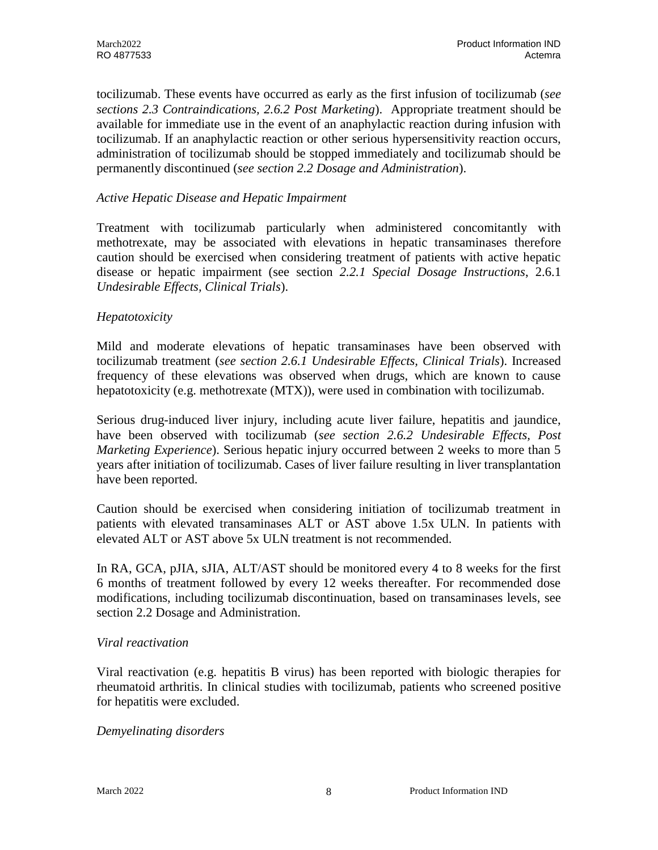tocilizumab. These events have occurred as early as the first infusion of tocilizumab (*see sections 2.3 Contraindications, 2.6.2 Post Marketing*). Appropriate treatment should be available for immediate use in the event of an anaphylactic reaction during infusion with tocilizumab. If an anaphylactic reaction or other serious hypersensitivity reaction occurs, administration of tocilizumab should be stopped immediately and tocilizumab should be permanently discontinued (*see section 2.2 Dosage and Administration*).

### *Active Hepatic Disease and Hepatic Impairment*

Treatment with tocilizumab particularly when administered concomitantly with methotrexate, may be associated with elevations in hepatic transaminases therefore caution should be exercised when considering treatment of patients with active hepatic disease or hepatic impairment (see section *2.2.1 Special Dosage Instructions*, 2.6.1 *Undesirable Effects, Clinical Trials*).

### *Hepatotoxicity*

Mild and moderate elevations of hepatic transaminases have been observed with tocilizumab treatment (*see section 2.6.1 Undesirable Effects, Clinical Trials*). Increased frequency of these elevations was observed when drugs, which are known to cause hepatotoxicity (e.g. methotrexate (MTX)), were used in combination with tocilizumab.

Serious drug-induced liver injury, including acute liver failure, hepatitis and jaundice, have been observed with tocilizumab (*see section 2.6.2 Undesirable Effects, Post Marketing Experience*). Serious hepatic injury occurred between 2 weeks to more than 5 years after initiation of tocilizumab. Cases of liver failure resulting in liver transplantation have been reported.

Caution should be exercised when considering initiation of tocilizumab treatment in patients with elevated transaminases ALT or AST above 1.5x ULN. In patients with elevated ALT or AST above 5x ULN treatment is not recommended.

In RA, GCA, pJIA, sJIA, ALT/AST should be monitored every 4 to 8 weeks for the first 6 months of treatment followed by every 12 weeks thereafter. For recommended dose modifications, including tocilizumab discontinuation, based on transaminases levels, see section 2.2 Dosage and Administration.

#### *Viral reactivation*

Viral reactivation (e.g. hepatitis B virus) has been reported with biologic therapies for rheumatoid arthritis. In clinical studies with tocilizumab, patients who screened positive for hepatitis were excluded.

#### *Demyelinating disorders*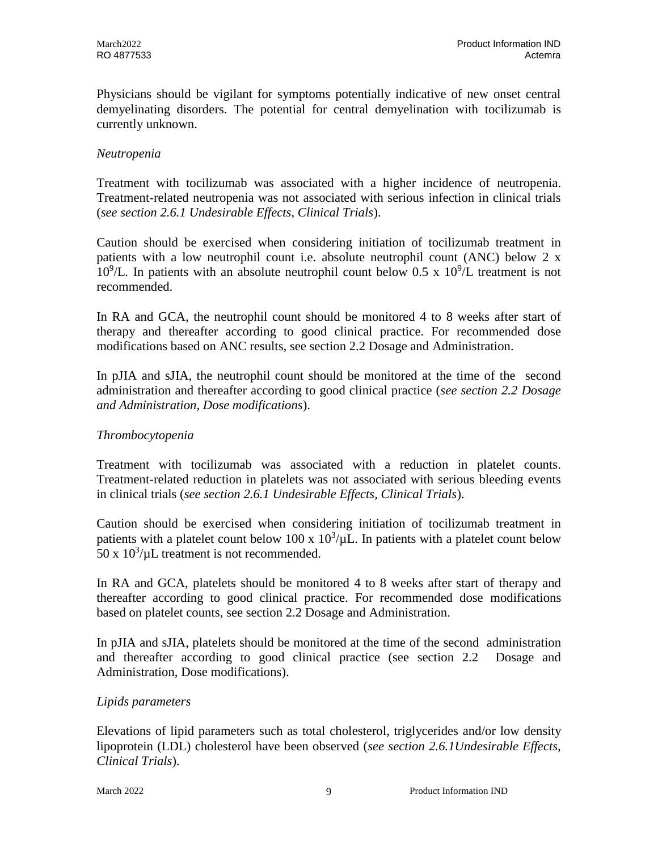Physicians should be vigilant for symptoms potentially indicative of new onset central demyelinating disorders. The potential for central demyelination with tocilizumab is currently unknown.

### *Neutropenia*

Treatment with tocilizumab was associated with a higher incidence of neutropenia. Treatment-related neutropenia was not associated with serious infection in clinical trials (*see section 2.6.1 Undesirable Effects, Clinical Trials*).

Caution should be exercised when considering initiation of tocilizumab treatment in patients with a low neutrophil count i.e. absolute neutrophil count (ANC) below 2 x  $10^9$ /L. In patients with an absolute neutrophil count below 0.5 x  $10^9$ /L treatment is not recommended.

In RA and GCA, the neutrophil count should be monitored 4 to 8 weeks after start of therapy and thereafter according to good clinical practice. For recommended dose modifications based on ANC results, see section 2.2 Dosage and Administration.

In pJIA and sJIA, the neutrophil count should be monitored at the time of the second administration and thereafter according to good clinical practice (*see section 2.2 Dosage and Administration, Dose modifications*).

#### *Thrombocytopenia*

Treatment with tocilizumab was associated with a reduction in platelet counts. Treatment-related reduction in platelets was not associated with serious bleeding events in clinical trials (*see section 2.6.1 Undesirable Effects, Clinical Trials*).

Caution should be exercised when considering initiation of tocilizumab treatment in patients with a platelet count below 100 x  $10^3/\mu$ L. In patients with a platelet count below 50 x  $10^3/\mu$ L treatment is not recommended.

In RA and GCA, platelets should be monitored 4 to 8 weeks after start of therapy and thereafter according to good clinical practice. For recommended dose modifications based on platelet counts, see section 2.2 Dosage and Administration.

In pJIA and sJIA, platelets should be monitored at the time of the second administration and thereafter according to good clinical practice (see section 2.2 Dosage and Administration, Dose modifications).

#### *Lipids parameters*

Elevations of lipid parameters such as total cholesterol, triglycerides and/or low density lipoprotein (LDL) cholesterol have been observed (*see section 2.6.1Undesirable Effects, Clinical Trials*).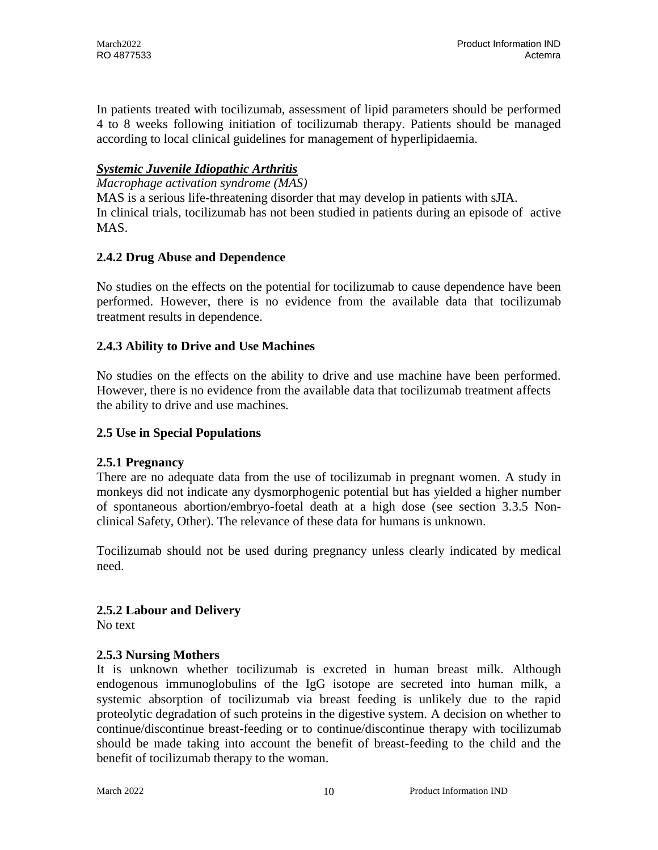In patients treated with tocilizumab, assessment of lipid parameters should be performed 4 to 8 weeks following initiation of tocilizumab therapy. Patients should be managed according to local clinical guidelines for management of hyperlipidaemia.

### *Systemic Juvenile Idiopathic Arthritis*

*Macrophage activation syndrome (MAS)*  MAS is a serious life-threatening disorder that may develop in patients with sJIA. In clinical trials, tocilizumab has not been studied in patients during an episode of active MAS.

### **2.4.2 Drug Abuse and Dependence**

No studies on the effects on the potential for tocilizumab to cause dependence have been performed. However, there is no evidence from the available data that tocilizumab treatment results in dependence.

# **2.4.3 Ability to Drive and Use Machines**

No studies on the effects on the ability to drive and use machine have been performed. However, there is no evidence from the available data that tocilizumab treatment affects the ability to drive and use machines.

#### **2.5 Use in Special Populations**

#### **2.5.1 Pregnancy**

There are no adequate data from the use of tocilizumab in pregnant women. A study in monkeys did not indicate any dysmorphogenic potential but has yielded a higher number of spontaneous abortion/embryo-foetal death at a high dose (see section 3.3.5 Nonclinical Safety, Other). The relevance of these data for humans is unknown.

Tocilizumab should not be used during pregnancy unless clearly indicated by medical need.

#### **2.5.2 Labour and Delivery**

No text

#### **2.5.3 Nursing Mothers**

It is unknown whether tocilizumab is excreted in human breast milk. Although endogenous immunoglobulins of the IgG isotope are secreted into human milk, a systemic absorption of tocilizumab via breast feeding is unlikely due to the rapid proteolytic degradation of such proteins in the digestive system. A decision on whether to continue/discontinue breast-feeding or to continue/discontinue therapy with tocilizumab should be made taking into account the benefit of breast-feeding to the child and the benefit of tocilizumab therapy to the woman.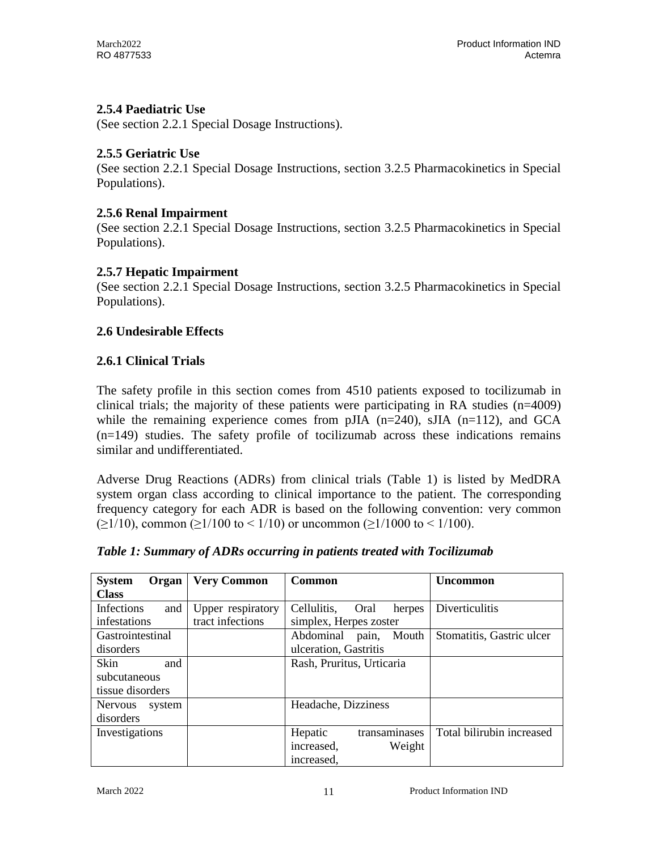# **2.5.4 Paediatric Use**

(See section 2.2.1 Special Dosage Instructions).

# **2.5.5 Geriatric Use**

(See section 2.2.1 Special Dosage Instructions, section 3.2.5 Pharmacokinetics in Special Populations).

# **2.5.6 Renal Impairment**

(See section 2.2.1 Special Dosage Instructions, section 3.2.5 Pharmacokinetics in Special Populations).

# **2.5.7 Hepatic Impairment**

(See section 2.2.1 Special Dosage Instructions, section 3.2.5 Pharmacokinetics in Special Populations).

# **2.6 Undesirable Effects**

# **2.6.1 Clinical Trials**

The safety profile in this section comes from 4510 patients exposed to tocilizumab in clinical trials; the majority of these patients were participating in RA studies  $(n=4009)$ while the remaining experience comes from pJIA  $(n=240)$ , sJIA  $(n=112)$ , and GCA (n=149) studies. The safety profile of tocilizumab across these indications remains similar and undifferentiated.

Adverse Drug Reactions (ADRs) from clinical trials (Table 1) is listed by MedDRA system organ class according to clinical importance to the patient. The corresponding frequency category for each ADR is based on the following convention: very common  $(\geq 1/10)$ , common  $(\geq 1/100$  to < 1/10) or uncommon  $(\geq 1/1000$  to < 1/100).

| <b>System</b><br>Organ   | <b>Very Common</b> | Common                        | <b>Uncommon</b>           |
|--------------------------|--------------------|-------------------------------|---------------------------|
| <b>Class</b>             |                    |                               |                           |
| Infections<br>and        | Upper respiratory  | Cellulitis,<br>Oral<br>herpes | Diverticulitis            |
| infestations             | tract infections   | simplex, Herpes zoster        |                           |
| Gastrointestinal         |                    | Abdominal pain,<br>Mouth      | Stomatitis, Gastric ulcer |
| disorders                |                    | ulceration, Gastritis         |                           |
| <b>Skin</b><br>and       |                    | Rash, Pruritus, Urticaria     |                           |
| subcutaneous             |                    |                               |                           |
| tissue disorders         |                    |                               |                           |
| <b>Nervous</b><br>system |                    | Headache, Dizziness           |                           |
| disorders                |                    |                               |                           |
| Investigations           |                    | Hepatic<br>transaminases      | Total bilirubin increased |
|                          |                    | increased,<br>Weight          |                           |
|                          |                    | increased.                    |                           |

# *Table 1: Summary of ADRs occurring in patients treated with Tocilizumab*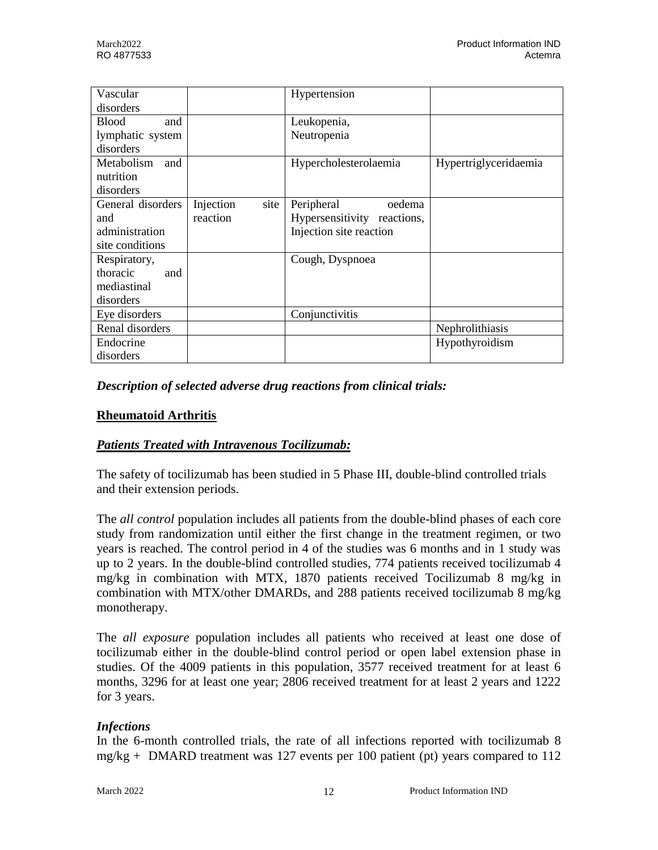| Vascular            |                   | Hypertension                |                       |
|---------------------|-------------------|-----------------------------|-----------------------|
| disorders           |                   |                             |                       |
| <b>Blood</b><br>and |                   | Leukopenia,                 |                       |
| lymphatic system    |                   | Neutropenia                 |                       |
| disorders           |                   |                             |                       |
| Metabolism<br>and   |                   | Hypercholesterolaemia       | Hypertriglyceridaemia |
| nutrition           |                   |                             |                       |
| disorders           |                   |                             |                       |
| General disorders   | Injection<br>site | Peripheral<br>oedema        |                       |
| and                 | reaction          | Hypersensitivity reactions, |                       |
| administration      |                   | Injection site reaction     |                       |
| site conditions     |                   |                             |                       |
| Respiratory,        |                   | Cough, Dyspnoea             |                       |
| thoracic<br>and     |                   |                             |                       |
| mediastinal         |                   |                             |                       |
| disorders           |                   |                             |                       |
| Eye disorders       |                   | Conjunctivitis              |                       |
| Renal disorders     |                   |                             | Nephrolithiasis       |
| Endocrine           |                   |                             | Hypothyroidism        |
| disorders           |                   |                             |                       |

*Description of selected adverse drug reactions from clinical trials:*

# **Rheumatoid Arthritis**

# *Patients Treated with Intravenous Tocilizumab:*

The safety of tocilizumab has been studied in 5 Phase III, double-blind controlled trials and their extension periods.

The *all control* population includes all patients from the double-blind phases of each core study from randomization until either the first change in the treatment regimen, or two years is reached. The control period in 4 of the studies was 6 months and in 1 study was up to 2 years. In the double-blind controlled studies, 774 patients received tocilizumab 4 mg/kg in combination with MTX, 1870 patients received Tocilizumab 8 mg/kg in combination with MTX/other DMARDs, and 288 patients received tocilizumab 8 mg/kg monotherapy.

The *all exposure* population includes all patients who received at least one dose of tocilizumab either in the double-blind control period or open label extension phase in studies. Of the 4009 patients in this population, 3577 received treatment for at least 6 months, 3296 for at least one year; 2806 received treatment for at least 2 years and 1222 for 3 years.

# *Infections*

In the 6-month controlled trials, the rate of all infections reported with tocilizumab 8  $mg/kg + DMARD$  treatment was 127 events per 100 patient (pt) years compared to 112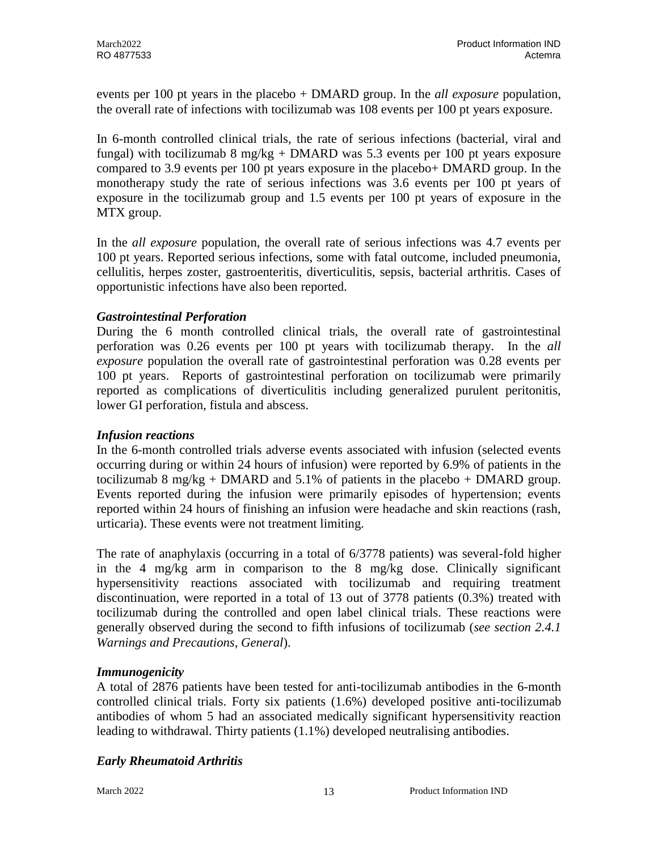events per 100 pt years in the placebo + DMARD group. In the *all exposure* population, the overall rate of infections with tocilizumab was 108 events per 100 pt years exposure.

In 6-month controlled clinical trials, the rate of serious infections (bacterial, viral and fungal) with tocilizumab 8 mg/kg + DMARD was 5.3 events per 100 pt years exposure compared to 3.9 events per 100 pt years exposure in the placebo+ DMARD group. In the monotherapy study the rate of serious infections was 3.6 events per 100 pt years of exposure in the tocilizumab group and 1.5 events per 100 pt years of exposure in the MTX group.

In the *all exposure* population, the overall rate of serious infections was 4.7 events per 100 pt years. Reported serious infections, some with fatal outcome, included pneumonia, cellulitis, herpes zoster, gastroenteritis, diverticulitis, sepsis, bacterial arthritis. Cases of opportunistic infections have also been reported.

# *Gastrointestinal Perforation*

During the 6 month controlled clinical trials, the overall rate of gastrointestinal perforation was 0.26 events per 100 pt years with tocilizumab therapy. In the *all exposure* population the overall rate of gastrointestinal perforation was 0.28 events per 100 pt years. Reports of gastrointestinal perforation on tocilizumab were primarily reported as complications of diverticulitis including generalized purulent peritonitis, lower GI perforation, fistula and abscess.

#### *Infusion reactions*

In the 6-month controlled trials adverse events associated with infusion (selected events occurring during or within 24 hours of infusion) were reported by 6.9% of patients in the tocilizumab 8 mg/kg + DMARD and 5.1% of patients in the placebo + DMARD group. Events reported during the infusion were primarily episodes of hypertension; events reported within 24 hours of finishing an infusion were headache and skin reactions (rash, urticaria). These events were not treatment limiting.

The rate of anaphylaxis (occurring in a total of 6/3778 patients) was several-fold higher in the 4 mg/kg arm in comparison to the 8 mg/kg dose. Clinically significant hypersensitivity reactions associated with tocilizumab and requiring treatment discontinuation, were reported in a total of 13 out of 3778 patients (0.3%) treated with tocilizumab during the controlled and open label clinical trials. These reactions were generally observed during the second to fifth infusions of tocilizumab (*see section 2.4.1 Warnings and Precautions, General*).

#### *Immunogenicity*

A total of 2876 patients have been tested for anti-tocilizumab antibodies in the 6-month controlled clinical trials. Forty six patients (1.6%) developed positive anti-tocilizumab antibodies of whom 5 had an associated medically significant hypersensitivity reaction leading to withdrawal. Thirty patients (1.1%) developed neutralising antibodies.

# *Early Rheumatoid Arthritis*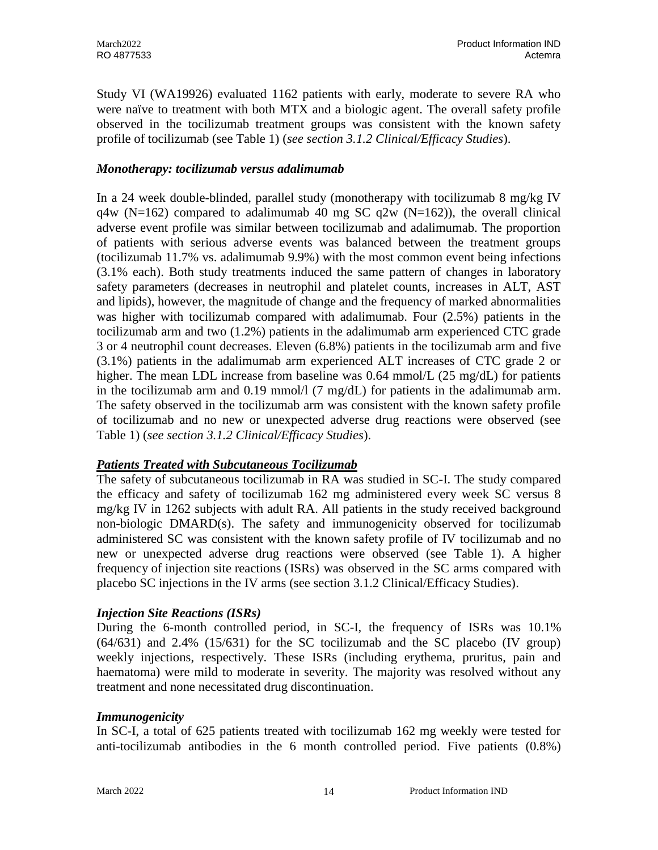Study VI (WA19926) evaluated 1162 patients with early, moderate to severe RA who were naïve to treatment with both MTX and a biologic agent. The overall safety profile observed in the tocilizumab treatment groups was consistent with the known safety profile of tocilizumab (see Table 1) (*see section 3.1.2 Clinical/Efficacy Studies*).

### *Monotherapy: tocilizumab versus adalimumab*

In a 24 week double-blinded, parallel study (monotherapy with tocilizumab 8 mg/kg IV  $q4w$  (N=162) compared to adalimumab 40 mg SC  $q2w$  (N=162)), the overall clinical adverse event profile was similar between tocilizumab and adalimumab. The proportion of patients with serious adverse events was balanced between the treatment groups (tocilizumab 11.7% vs. adalimumab 9.9%) with the most common event being infections (3.1% each). Both study treatments induced the same pattern of changes in laboratory safety parameters (decreases in neutrophil and platelet counts, increases in ALT, AST and lipids), however, the magnitude of change and the frequency of marked abnormalities was higher with tocilizumab compared with adalimumab. Four (2.5%) patients in the tocilizumab arm and two (1.2%) patients in the adalimumab arm experienced CTC grade 3 or 4 neutrophil count decreases. Eleven (6.8%) patients in the tocilizumab arm and five (3.1%) patients in the adalimumab arm experienced ALT increases of CTC grade 2 or higher. The mean LDL increase from baseline was 0.64 mmol/L (25 mg/dL) for patients in the tocilizumab arm and 0.19 mmol/l  $(7 \text{ mg/dL})$  for patients in the adalimumab arm. The safety observed in the tocilizumab arm was consistent with the known safety profile of tocilizumab and no new or unexpected adverse drug reactions were observed (see Table 1) (*see section 3.1.2 Clinical/Efficacy Studies*).

# *Patients Treated with Subcutaneous Tocilizumab*

The safety of subcutaneous tocilizumab in RA was studied in SC-I. The study compared the efficacy and safety of tocilizumab 162 mg administered every week SC versus 8 mg/kg IV in 1262 subjects with adult RA. All patients in the study received background non-biologic DMARD(s). The safety and immunogenicity observed for tocilizumab administered SC was consistent with the known safety profile of IV tocilizumab and no new or unexpected adverse drug reactions were observed (see Table 1). A higher frequency of injection site reactions (ISRs) was observed in the SC arms compared with placebo SC injections in the IV arms (see section 3.1.2 Clinical/Efficacy Studies).

#### *Injection Site Reactions (ISRs)*

During the 6-month controlled period, in SC-I, the frequency of ISRs was 10.1% (64/631) and 2.4% (15/631) for the SC tocilizumab and the SC placebo (IV group) weekly injections, respectively. These ISRs (including erythema, pruritus, pain and haematoma) were mild to moderate in severity. The majority was resolved without any treatment and none necessitated drug discontinuation.

#### *Immunogenicity*

In SC-I, a total of 625 patients treated with tocilizumab 162 mg weekly were tested for anti-tocilizumab antibodies in the 6 month controlled period. Five patients (0.8%)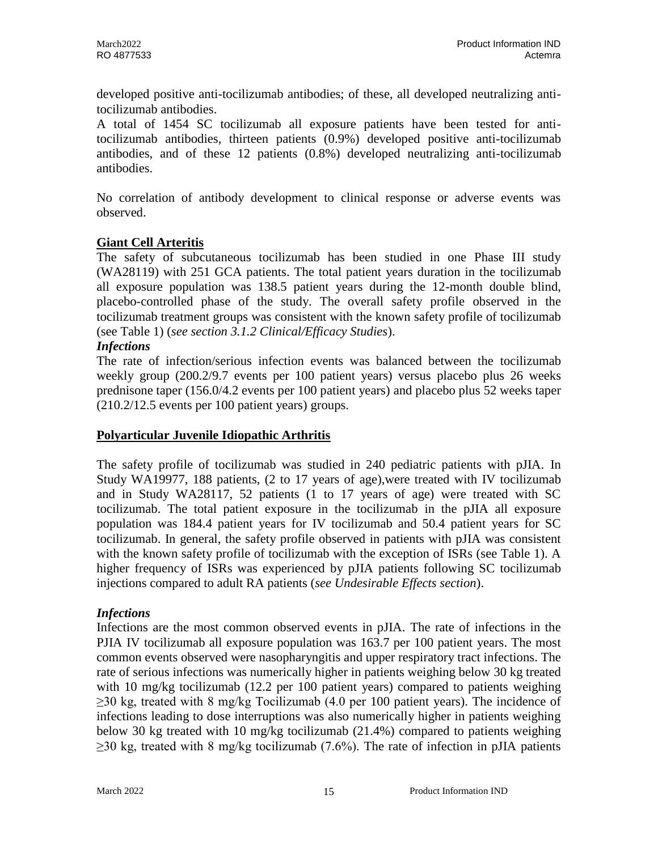developed positive anti-tocilizumab antibodies; of these, all developed neutralizing antitocilizumab antibodies.

A total of 1454 SC tocilizumab all exposure patients have been tested for antitocilizumab antibodies, thirteen patients (0.9%) developed positive anti-tocilizumab antibodies, and of these 12 patients (0.8%) developed neutralizing anti-tocilizumab antibodies.

No correlation of antibody development to clinical response or adverse events was observed.

# **Giant Cell Arteritis**

The safety of subcutaneous tocilizumab has been studied in one Phase III study (WA28119) with 251 GCA patients. The total patient years duration in the tocilizumab all exposure population was 138.5 patient years during the 12-month double blind, placebo-controlled phase of the study. The overall safety profile observed in the tocilizumab treatment groups was consistent with the known safety profile of tocilizumab (see Table 1) (*see section 3.1.2 Clinical/Efficacy Studies*).

# *Infections*

The rate of infection/serious infection events was balanced between the tocilizumab weekly group (200.2/9.7 events per 100 patient years) versus placebo plus 26 weeks prednisone taper (156.0/4.2 events per 100 patient years) and placebo plus 52 weeks taper (210.2/12.5 events per 100 patient years) groups.

#### **Polyarticular Juvenile Idiopathic Arthritis**

The safety profile of tocilizumab was studied in 240 pediatric patients with pJIA. In Study WA19977, 188 patients, (2 to 17 years of age),were treated with IV tocilizumab and in Study WA28117, 52 patients (1 to 17 years of age) were treated with SC tocilizumab. The total patient exposure in the tocilizumab in the pJIA all exposure population was 184.4 patient years for IV tocilizumab and 50.4 patient years for SC tocilizumab. In general, the safety profile observed in patients with pJIA was consistent with the known safety profile of tocilizumab with the exception of ISRs (see Table 1). A higher frequency of ISRs was experienced by pJIA patients following SC tocilizumab injections compared to adult RA patients (*see Undesirable Effects section*).

#### *Infections*

Infections are the most common observed events in pJIA. The rate of infections in the PJIA IV tocilizumab all exposure population was 163.7 per 100 patient years. The most common events observed were nasopharyngitis and upper respiratory tract infections. The rate of serious infections was numerically higher in patients weighing below 30 kg treated with 10 mg/kg tocilizumab (12.2 per 100 patient years) compared to patients weighing  $\geq$ 30 kg, treated with 8 mg/kg Tocilizumab (4.0 per 100 patient years). The incidence of infections leading to dose interruptions was also numerically higher in patients weighing below 30 kg treated with 10 mg/kg tocilizumab (21.4%) compared to patients weighing  $\geq$ 30 kg, treated with 8 mg/kg tocilizumab (7.6%). The rate of infection in pJIA patients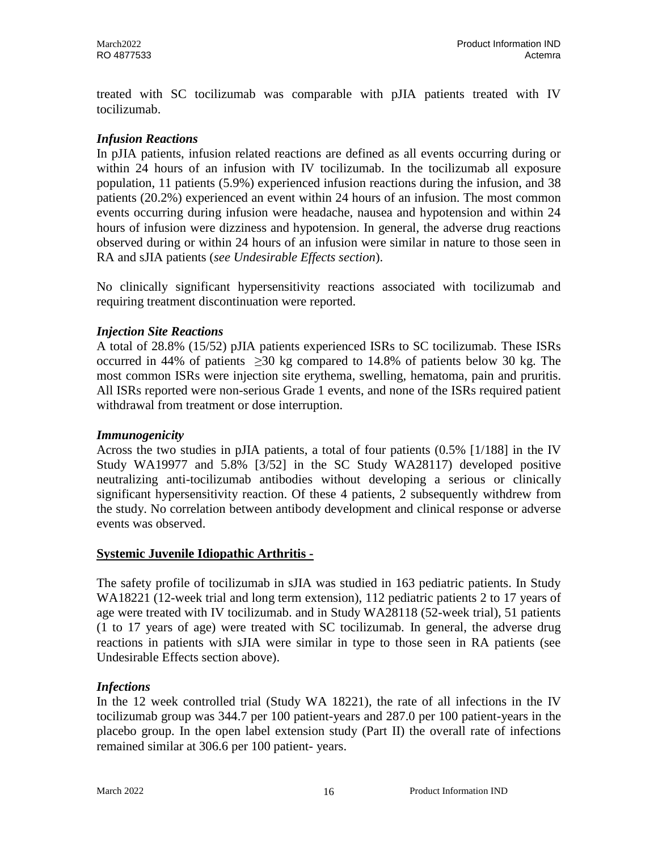treated with SC tocilizumab was comparable with pJIA patients treated with IV tocilizumab.

### *Infusion Reactions*

In pJIA patients, infusion related reactions are defined as all events occurring during or within 24 hours of an infusion with IV tocilizumab. In the tocilizumab all exposure population, 11 patients (5.9%) experienced infusion reactions during the infusion, and 38 patients (20.2%) experienced an event within 24 hours of an infusion. The most common events occurring during infusion were headache, nausea and hypotension and within 24 hours of infusion were dizziness and hypotension. In general, the adverse drug reactions observed during or within 24 hours of an infusion were similar in nature to those seen in RA and sJIA patients (*see Undesirable Effects section*).

No clinically significant hypersensitivity reactions associated with tocilizumab and requiring treatment discontinuation were reported.

### *Injection Site Reactions*

A total of 28.8% (15/52) pJIA patients experienced ISRs to SC tocilizumab. These ISRs occurred in 44% of patients  $\geq 30$  kg compared to 14.8% of patients below 30 kg. The most common ISRs were injection site erythema, swelling, hematoma, pain and pruritis. All ISRs reported were non-serious Grade 1 events, and none of the ISRs required patient withdrawal from treatment or dose interruption.

#### *Immunogenicity*

Across the two studies in pJIA patients, a total of four patients (0.5% [1/188] in the IV Study WA19977 and 5.8% [3/52] in the SC Study WA28117) developed positive neutralizing anti-tocilizumab antibodies without developing a serious or clinically significant hypersensitivity reaction. Of these 4 patients, 2 subsequently withdrew from the study. No correlation between antibody development and clinical response or adverse events was observed.

#### **Systemic Juvenile Idiopathic Arthritis -**

The safety profile of tocilizumab in sJIA was studied in 163 pediatric patients. In Study WA18221 (12-week trial and long term extension), 112 pediatric patients 2 to 17 years of age were treated with IV tocilizumab. and in Study WA28118 (52-week trial), 51 patients (1 to 17 years of age) were treated with SC tocilizumab. In general, the adverse drug reactions in patients with sJIA were similar in type to those seen in RA patients (see Undesirable Effects section above).

# *Infections*

In the 12 week controlled trial (Study WA 18221), the rate of all infections in the IV tocilizumab group was 344.7 per 100 patient-years and 287.0 per 100 patient-years in the placebo group. In the open label extension study (Part II) the overall rate of infections remained similar at 306.6 per 100 patient- years.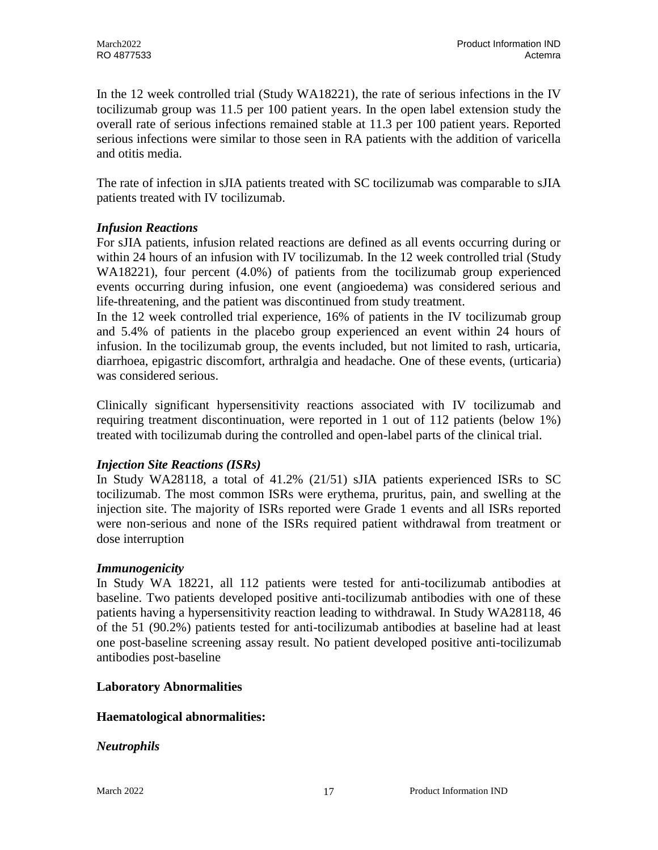In the 12 week controlled trial (Study WA18221), the rate of serious infections in the IV tocilizumab group was 11.5 per 100 patient years. In the open label extension study the overall rate of serious infections remained stable at 11.3 per 100 patient years. Reported serious infections were similar to those seen in RA patients with the addition of varicella and otitis media.

The rate of infection in sJIA patients treated with SC tocilizumab was comparable to sJIA patients treated with IV tocilizumab.

# *Infusion Reactions*

For sJIA patients, infusion related reactions are defined as all events occurring during or within 24 hours of an infusion with IV tocilizumab. In the 12 week controlled trial (Study WA18221), four percent (4.0%) of patients from the tocilizumab group experienced events occurring during infusion, one event (angioedema) was considered serious and life-threatening, and the patient was discontinued from study treatment.

In the 12 week controlled trial experience, 16% of patients in the IV tocilizumab group and 5.4% of patients in the placebo group experienced an event within 24 hours of infusion. In the tocilizumab group, the events included, but not limited to rash, urticaria, diarrhoea, epigastric discomfort, arthralgia and headache. One of these events, (urticaria) was considered serious.

Clinically significant hypersensitivity reactions associated with IV tocilizumab and requiring treatment discontinuation, were reported in 1 out of 112 patients (below 1%) treated with tocilizumab during the controlled and open-label parts of the clinical trial.

# *Injection Site Reactions (ISRs)*

In Study WA28118, a total of 41.2% (21/51) sJIA patients experienced ISRs to SC tocilizumab. The most common ISRs were erythema, pruritus, pain, and swelling at the injection site. The majority of ISRs reported were Grade 1 events and all ISRs reported were non-serious and none of the ISRs required patient withdrawal from treatment or dose interruption

#### *Immunogenicity*

In Study WA 18221, all 112 patients were tested for anti-tocilizumab antibodies at baseline. Two patients developed positive anti-tocilizumab antibodies with one of these patients having a hypersensitivity reaction leading to withdrawal. In Study WA28118, 46 of the 51 (90.2%) patients tested for anti-tocilizumab antibodies at baseline had at least one post-baseline screening assay result. No patient developed positive anti-tocilizumab antibodies post-baseline

# **Laboratory Abnormalities**

# **Haematological abnormalities:**

# *Neutrophils*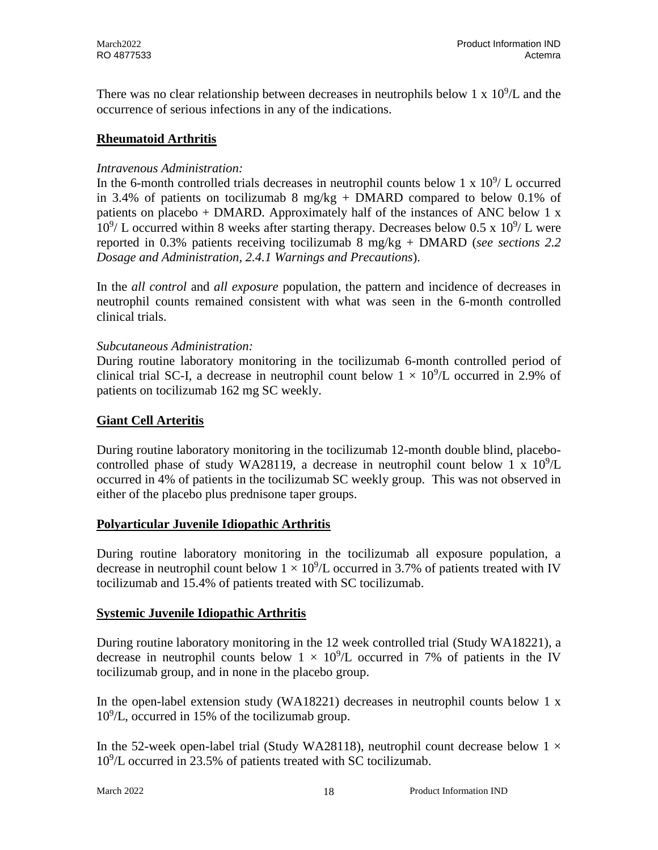There was no clear relationship between decreases in neutrophils below 1 x  $10<sup>9</sup>/L$  and the occurrence of serious infections in any of the indications.

# **Rheumatoid Arthritis**

### *Intravenous Administration:*

In the 6-month controlled trials decreases in neutrophil counts below 1 x  $10^9$ / L occurred in 3.4% of patients on tocilizumab 8 mg/kg + DMARD compared to below 0.1% of patients on placebo + DMARD. Approximately half of the instances of ANC below 1 x  $10^9$ / L occurred within 8 weeks after starting therapy. Decreases below 0.5 x  $10^9$ / L were reported in 0.3% patients receiving tocilizumab 8 mg/kg + DMARD (*see sections 2.2 Dosage and Administration, 2.4.1 Warnings and Precautions*).

In the *all control* and *all exposure* population, the pattern and incidence of decreases in neutrophil counts remained consistent with what was seen in the 6-month controlled clinical trials.

### *Subcutaneous Administration:*

During routine laboratory monitoring in the tocilizumab 6-month controlled period of clinical trial SC-I, a decrease in neutrophil count below  $1 \times 10^9$ /L occurred in 2.9% of patients on tocilizumab 162 mg SC weekly.

# **Giant Cell Arteritis**

During routine laboratory monitoring in the tocilizumab 12-month double blind, placebocontrolled phase of study WA28119, a decrease in neutrophil count below 1 x  $10^9$ /L occurred in 4% of patients in the tocilizumab SC weekly group. This was not observed in either of the placebo plus prednisone taper groups.

# **Polyarticular Juvenile Idiopathic Arthritis**

During routine laboratory monitoring in the tocilizumab all exposure population, a decrease in neutrophil count below  $1 \times 10^9$ /L occurred in 3.7% of patients treated with IV tocilizumab and 15.4% of patients treated with SC tocilizumab.

# **Systemic Juvenile Idiopathic Arthritis**

During routine laboratory monitoring in the 12 week controlled trial (Study WA18221), a decrease in neutrophil counts below  $1 \times 10^9$ /L occurred in 7% of patients in the IV tocilizumab group, and in none in the placebo group.

In the open-label extension study (WA18221) decreases in neutrophil counts below 1 x 10<sup>9</sup> /L, occurred in 15% of the tocilizumab group.

In the 52-week open-label trial (Study WA28118), neutrophil count decrease below  $1 \times$ 10<sup>9</sup> /L occurred in 23.5% of patients treated with SC tocilizumab.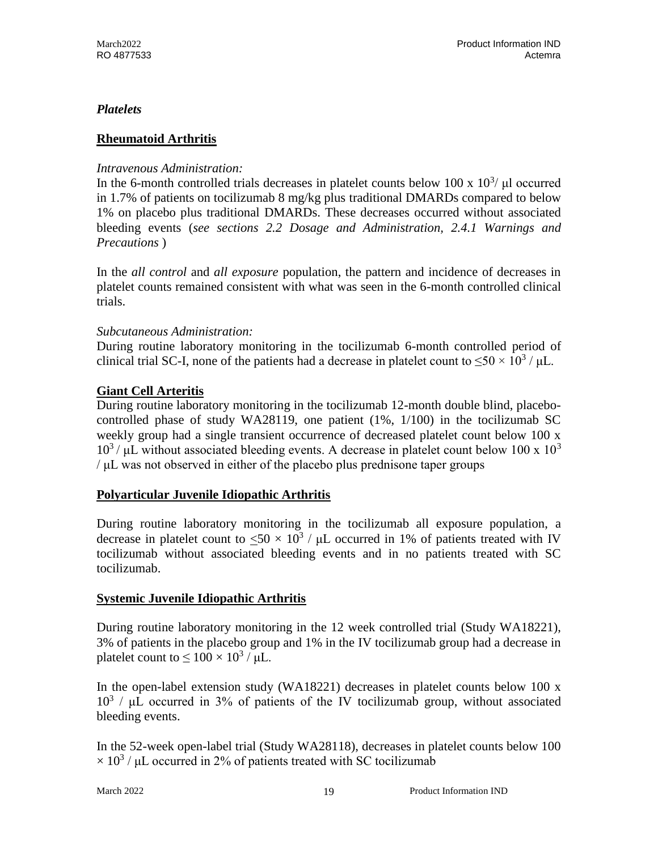# *Platelets*

# **Rheumatoid Arthritis**

# *Intravenous Administration:*

In the 6-month controlled trials decreases in platelet counts below 100 x  $10^3$ /  $\mu$ l occurred in 1.7% of patients on tocilizumab 8 mg/kg plus traditional DMARDs compared to below 1% on placebo plus traditional DMARDs. These decreases occurred without associated bleeding events (*see sections 2.2 Dosage and Administration, 2.4.1 Warnings and Precautions* )

In the *all control* and *all exposure* population, the pattern and incidence of decreases in platelet counts remained consistent with what was seen in the 6-month controlled clinical trials.

# *Subcutaneous Administration:*

During routine laboratory monitoring in the tocilizumab 6-month controlled period of clinical trial SC-I, none of the patients had a decrease in platelet count to  $\leq 50 \times 10^3$  /  $\mu$ L.

# **Giant Cell Arteritis**

During routine laboratory monitoring in the tocilizumab 12-month double blind, placebocontrolled phase of study WA28119, one patient  $(1\%, 1/100)$  in the tocilizumab SC weekly group had a single transient occurrence of decreased platelet count below 100 x  $10^3$ / μL without associated bleeding events. A decrease in platelet count below 100 x  $10^3$ / μL was not observed in either of the placebo plus prednisone taper groups

# **Polyarticular Juvenile Idiopathic Arthritis**

During routine laboratory monitoring in the tocilizumab all exposure population, a decrease in platelet count to  $\leq 50 \times 10^3$  /  $\mu$ L occurred in 1% of patients treated with IV tocilizumab without associated bleeding events and in no patients treated with SC tocilizumab.

# **Systemic Juvenile Idiopathic Arthritis**

During routine laboratory monitoring in the 12 week controlled trial (Study WA18221), 3% of patients in the placebo group and 1% in the IV tocilizumab group had a decrease in platelet count to  $\leq 100 \times 10^3$  /  $\mu$ L.

In the open-label extension study (WA18221) decreases in platelet counts below 100 x 10<sup>3</sup> / μL occurred in 3% of patients of the IV tocilizumab group, without associated bleeding events.

In the 52-week open-label trial (Study WA28118), decreases in platelet counts below 100  $\times$  10<sup>3</sup> /  $\mu$ L occurred in 2% of patients treated with SC tocilizumab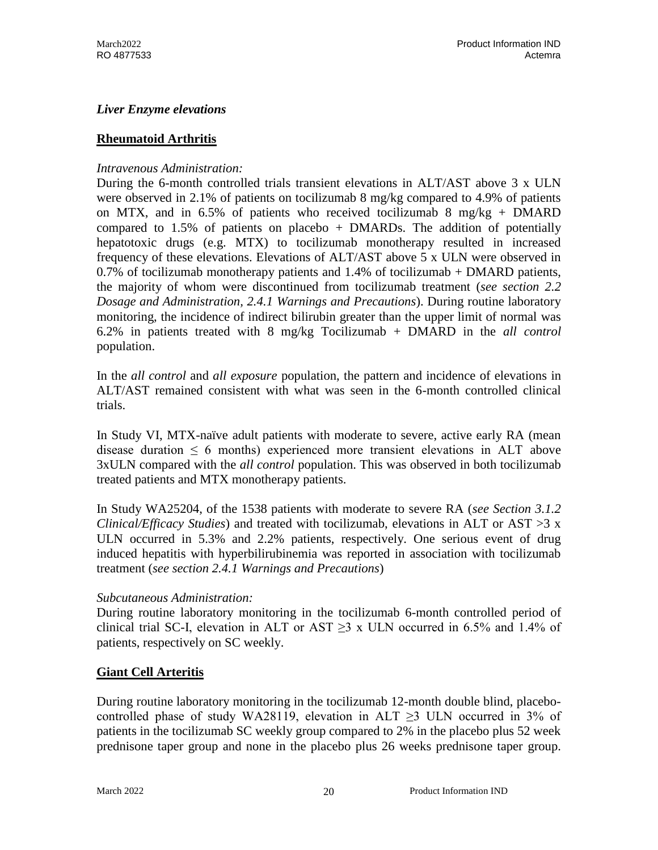### *Liver Enzyme elevations*

### **Rheumatoid Arthritis**

#### *Intravenous Administration:*

During the 6-month controlled trials transient elevations in ALT/AST above 3 x ULN were observed in 2.1% of patients on tocilizumab 8 mg/kg compared to 4.9% of patients on MTX, and in 6.5% of patients who received tocilizumab 8 mg/kg + DMARD compared to  $1.5\%$  of patients on placebo + DMARDs. The addition of potentially hepatotoxic drugs (e.g. MTX) to tocilizumab monotherapy resulted in increased frequency of these elevations. Elevations of ALT/AST above 5 x ULN were observed in 0.7% of tocilizumab monotherapy patients and 1.4% of tocilizumab + DMARD patients, the majority of whom were discontinued from tocilizumab treatment (*see section 2.2 Dosage and Administration, 2.4.1 Warnings and Precautions*). During routine laboratory monitoring, the incidence of indirect bilirubin greater than the upper limit of normal was 6.2% in patients treated with 8 mg/kg Tocilizumab + DMARD in the *all control* population.

In the *all control* and *all exposure* population, the pattern and incidence of elevations in ALT/AST remained consistent with what was seen in the 6-month controlled clinical trials.

In Study VI, MTX-naïve adult patients with moderate to severe, active early RA (mean disease duration  $\leq 6$  months) experienced more transient elevations in ALT above 3xULN compared with the *all control* population. This was observed in both tocilizumab treated patients and MTX monotherapy patients.

In Study WA25204, of the 1538 patients with moderate to severe RA (*see Section 3.1.2 Clinical/Efficacy Studies*) and treated with tocilizumab, elevations in ALT or AST >3 x ULN occurred in 5.3% and 2.2% patients, respectively. One serious event of drug induced hepatitis with hyperbilirubinemia was reported in association with tocilizumab treatment (*see section 2.4.1 Warnings and Precautions*)

#### *Subcutaneous Administration:*

During routine laboratory monitoring in the tocilizumab 6-month controlled period of clinical trial SC-I, elevation in ALT or AST  $\geq$ 3 x ULN occurred in 6.5% and 1.4% of patients, respectively on SC weekly.

#### **Giant Cell Arteritis**

During routine laboratory monitoring in the tocilizumab 12-month double blind, placebocontrolled phase of study WA28119, elevation in ALT ≥3 ULN occurred in 3% of patients in the tocilizumab SC weekly group compared to 2% in the placebo plus 52 week prednisone taper group and none in the placebo plus 26 weeks prednisone taper group.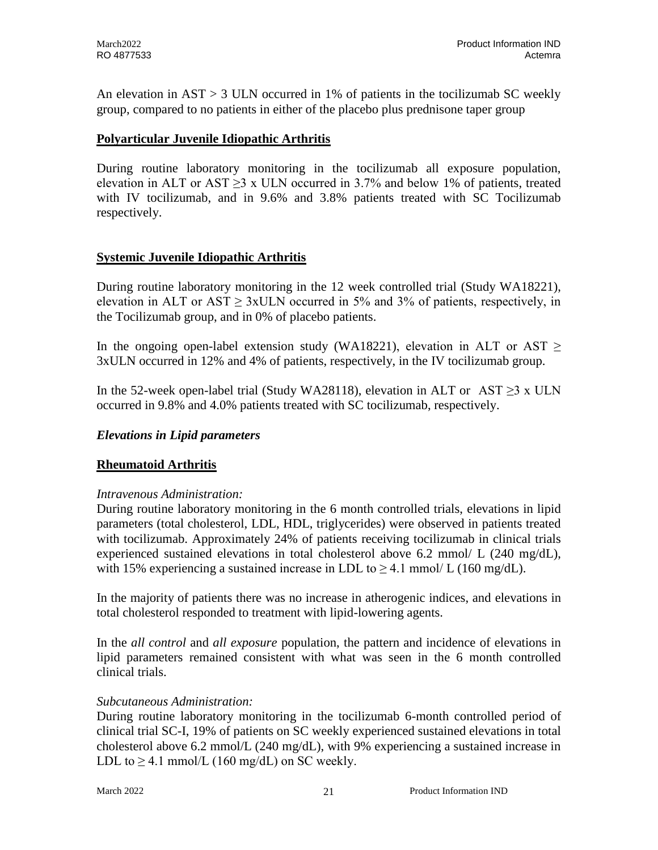An elevation in AST > 3 ULN occurred in 1% of patients in the tocilizumab SC weekly group, compared to no patients in either of the placebo plus prednisone taper group

### **Polyarticular Juvenile Idiopathic Arthritis**

During routine laboratory monitoring in the tocilizumab all exposure population, elevation in ALT or AST  $\geq$ 3 x ULN occurred in 3.7% and below 1% of patients, treated with IV tocilizumab, and in 9.6% and 3.8% patients treated with SC Tocilizumab respectively.

### **Systemic Juvenile Idiopathic Arthritis**

During routine laboratory monitoring in the 12 week controlled trial (Study WA18221), elevation in ALT or AST  $\geq$  3xULN occurred in 5% and 3% of patients, respectively, in the Tocilizumab group, and in 0% of placebo patients.

In the ongoing open-label extension study (WA18221), elevation in ALT or AST  $\geq$ 3xULN occurred in 12% and 4% of patients, respectively, in the IV tocilizumab group.

In the 52-week open-label trial (Study WA28118), elevation in ALT or AST ≥3 x ULN occurred in 9.8% and 4.0% patients treated with SC tocilizumab, respectively.

#### *Elevations in Lipid parameters*

# **Rheumatoid Arthritis**

#### *Intravenous Administration:*

During routine laboratory monitoring in the 6 month controlled trials, elevations in lipid parameters (total cholesterol, LDL, HDL, triglycerides) were observed in patients treated with tocilizumab. Approximately 24% of patients receiving tocilizumab in clinical trials experienced sustained elevations in total cholesterol above 6.2 mmol/ L (240 mg/dL), with 15% experiencing a sustained increase in LDL to  $> 4.1$  mmol/ L (160 mg/dL).

In the majority of patients there was no increase in atherogenic indices, and elevations in total cholesterol responded to treatment with lipid-lowering agents.

In the *all control* and *all exposure* population, the pattern and incidence of elevations in lipid parameters remained consistent with what was seen in the 6 month controlled clinical trials.

#### *Subcutaneous Administration:*

During routine laboratory monitoring in the tocilizumab 6-month controlled period of clinical trial SC-I, 19% of patients on SC weekly experienced sustained elevations in total cholesterol above 6.2 mmol/L (240 mg/dL), with 9% experiencing a sustained increase in LDL to  $\geq$  4.1 mmol/L (160 mg/dL) on SC weekly.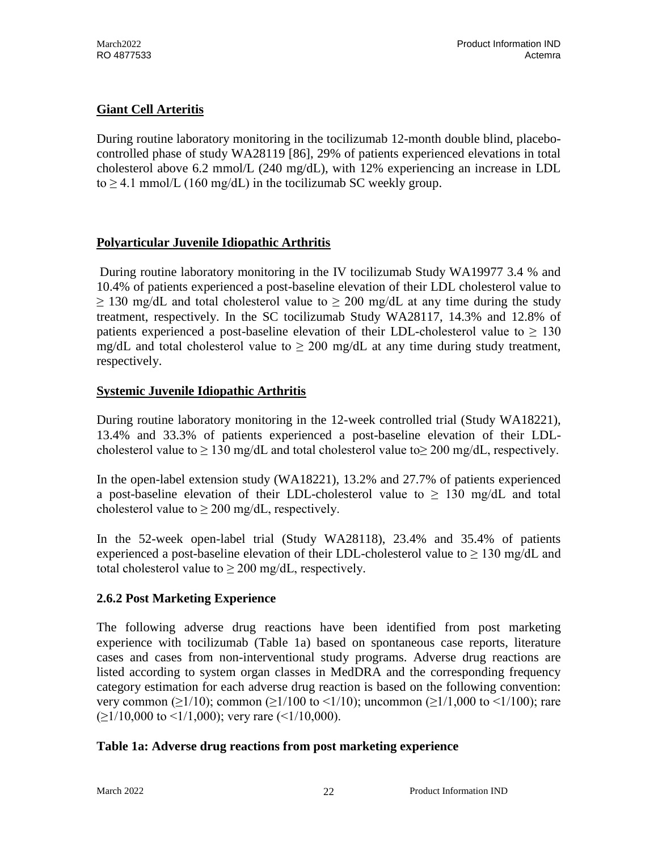# **Giant Cell Arteritis**

During routine laboratory monitoring in the tocilizumab 12-month double blind, placebocontrolled phase of study WA28119 [86], 29% of patients experienced elevations in total cholesterol above 6.2 mmol/L (240 mg/dL), with 12% experiencing an increase in LDL to  $\geq$  4.1 mmol/L (160 mg/dL) in the tocilizumab SC weekly group.

# **Polyarticular Juvenile Idiopathic Arthritis**

During routine laboratory monitoring in the IV tocilizumab Study WA19977 3.4 % and 10.4% of patients experienced a post-baseline elevation of their LDL cholesterol value to  $\geq$  130 mg/dL and total cholesterol value to  $\geq$  200 mg/dL at any time during the study treatment, respectively. In the SC tocilizumab Study WA28117, 14.3% and 12.8% of patients experienced a post-baseline elevation of their LDL-cholesterol value to  $\geq 130$ mg/dL and total cholesterol value to  $\geq 200$  mg/dL at any time during study treatment, respectively.

# **Systemic Juvenile Idiopathic Arthritis**

During routine laboratory monitoring in the 12-week controlled trial (Study WA18221), 13.4% and 33.3% of patients experienced a post-baseline elevation of their LDLcholesterol value to  $\geq 130$  mg/dL and total cholesterol value to $\geq 200$  mg/dL, respectively.

In the open-label extension study (WA18221), 13.2% and 27.7% of patients experienced a post-baseline elevation of their LDL-cholesterol value to  $\geq$  130 mg/dL and total cholesterol value to  $\geq 200$  mg/dL, respectively.

In the 52-week open-label trial (Study WA28118), 23.4% and 35.4% of patients experienced a post-baseline elevation of their LDL-cholesterol value to  $\geq 130$  mg/dL and total cholesterol value to  $> 200$  mg/dL, respectively.

# **2.6.2 Post Marketing Experience**

The following adverse drug reactions have been identified from post marketing experience with tocilizumab (Table 1a) based on spontaneous case reports, literature cases and cases from non-interventional study programs. Adverse drug reactions are listed according to system organ classes in MedDRA and the corresponding frequency category estimation for each adverse drug reaction is based on the following convention: very common ( $\geq$ 1/10); common ( $\geq$ 1/100 to  $\leq$ 1/10); uncommon ( $\geq$ 1/1,000 to  $\leq$ 1/100); rare  $(>1/10,000$  to  $\leq 1/1,000$ ; very rare  $( \leq 1/10,000)$ .

#### **Table 1a: Adverse drug reactions from post marketing experience**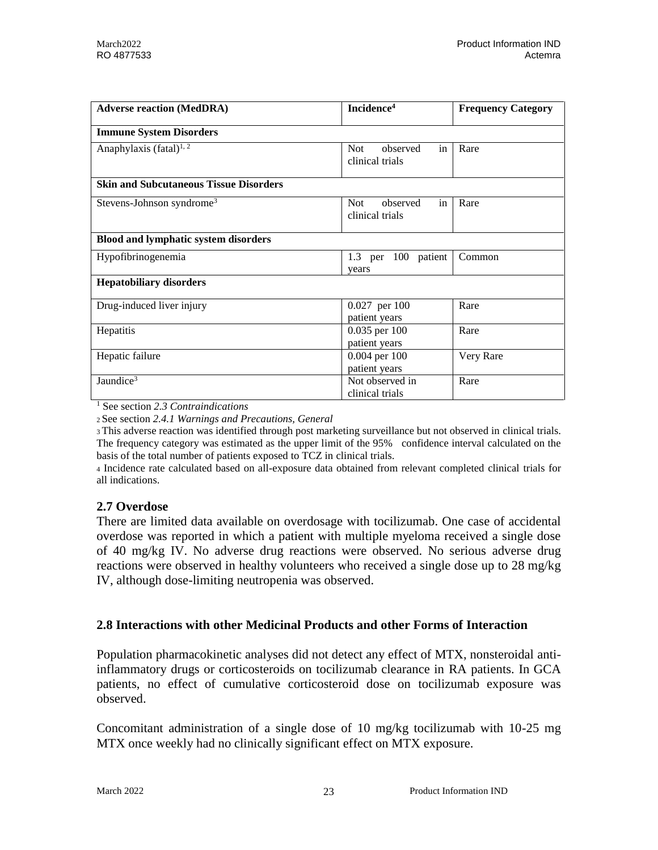| <b>Adverse reaction (MedDRA)</b>              | Incidence <sup>4</sup>                          | <b>Frequency Category</b> |
|-----------------------------------------------|-------------------------------------------------|---------------------------|
| <b>Immune System Disorders</b>                |                                                 |                           |
| Anaphylaxis (fatal) <sup>1, 2</sup>           | <b>Not</b><br>observed<br>in<br>clinical trials | Rare                      |
| <b>Skin and Subcutaneous Tissue Disorders</b> |                                                 |                           |
| Stevens-Johnson syndrome <sup>3</sup>         | in<br>Not<br>observed<br>clinical trials        | Rare                      |
| <b>Blood and lymphatic system disorders</b>   |                                                 |                           |
| Hypofibrinogenemia                            | 1.3 per 100 patient<br>years                    | Common                    |
| <b>Hepatobiliary disorders</b>                |                                                 |                           |
| Drug-induced liver injury                     | 0.027 per 100<br>patient years                  | Rare                      |
| Hepatitis                                     | 0.035 per 100<br>patient years                  | Rare                      |
| Hepatic failure                               | 0.004 per 100<br>patient years                  | Very Rare                 |
| Jaundice <sup>3</sup>                         | Not observed in<br>clinical trials              | Rare                      |

<sup>1</sup> See section *2.3 Contraindications*

<sup>2</sup>See section *2.4.1 Warnings and Precautions, General*

<sup>3</sup>This adverse reaction was identified through post marketing surveillance but not observed in clinical trials. The frequency category was estimated as the upper limit of the 95% confidence interval calculated on the basis of the total number of patients exposed to TCZ in clinical trials.

<sup>4</sup> Incidence rate calculated based on all-exposure data obtained from relevant completed clinical trials for all indications.

#### **2.7 Overdose**

There are limited data available on overdosage with tocilizumab. One case of accidental overdose was reported in which a patient with multiple myeloma received a single dose of 40 mg/kg IV. No adverse drug reactions were observed. No serious adverse drug reactions were observed in healthy volunteers who received a single dose up to 28 mg/kg IV, although dose-limiting neutropenia was observed.

### **2.8 Interactions with other Medicinal Products and other Forms of Interaction**

Population pharmacokinetic analyses did not detect any effect of MTX, nonsteroidal antiinflammatory drugs or corticosteroids on tocilizumab clearance in RA patients. In GCA patients, no effect of cumulative corticosteroid dose on tocilizumab exposure was observed.

Concomitant administration of a single dose of 10 mg/kg tocilizumab with 10-25 mg MTX once weekly had no clinically significant effect on MTX exposure.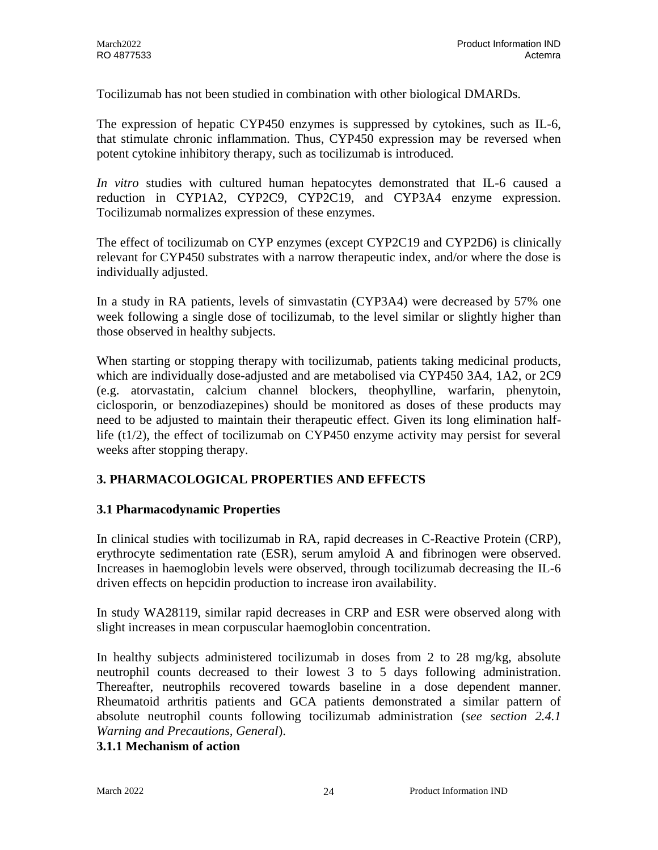Tocilizumab has not been studied in combination with other biological DMARDs.

The expression of hepatic CYP450 enzymes is suppressed by cytokines, such as IL-6, that stimulate chronic inflammation. Thus, CYP450 expression may be reversed when potent cytokine inhibitory therapy, such as tocilizumab is introduced.

*In vitro* studies with cultured human hepatocytes demonstrated that IL-6 caused a reduction in CYP1A2, CYP2C9, CYP2C19, and CYP3A4 enzyme expression. Tocilizumab normalizes expression of these enzymes.

The effect of tocilizumab on CYP enzymes (except CYP2C19 and CYP2D6) is clinically relevant for CYP450 substrates with a narrow therapeutic index, and/or where the dose is individually adjusted.

In a study in RA patients, levels of simvastatin (CYP3A4) were decreased by 57% one week following a single dose of tocilizumab, to the level similar or slightly higher than those observed in healthy subjects.

When starting or stopping therapy with tocilizumab, patients taking medicinal products, which are individually dose-adjusted and are metabolised via CYP450 3A4, 1A2, or 2C9 (e.g. atorvastatin, calcium channel blockers, theophylline, warfarin, phenytoin, ciclosporin, or benzodiazepines) should be monitored as doses of these products may need to be adjusted to maintain their therapeutic effect. Given its long elimination halflife (t1/2), the effect of tocilizumab on CYP450 enzyme activity may persist for several weeks after stopping therapy.

# **3. PHARMACOLOGICAL PROPERTIES AND EFFECTS**

# **3.1 Pharmacodynamic Properties**

In clinical studies with tocilizumab in RA, rapid decreases in C-Reactive Protein (CRP), erythrocyte sedimentation rate (ESR), serum amyloid A and fibrinogen were observed. Increases in haemoglobin levels were observed, through tocilizumab decreasing the IL-6 driven effects on hepcidin production to increase iron availability.

In study WA28119, similar rapid decreases in CRP and ESR were observed along with slight increases in mean corpuscular haemoglobin concentration.

In healthy subjects administered tocilizumab in doses from 2 to 28 mg/kg, absolute neutrophil counts decreased to their lowest 3 to 5 days following administration. Thereafter, neutrophils recovered towards baseline in a dose dependent manner. Rheumatoid arthritis patients and GCA patients demonstrated a similar pattern of absolute neutrophil counts following tocilizumab administration (*see section 2.4.1 Warning and Precautions, General*).

#### **3.1.1 Mechanism of action**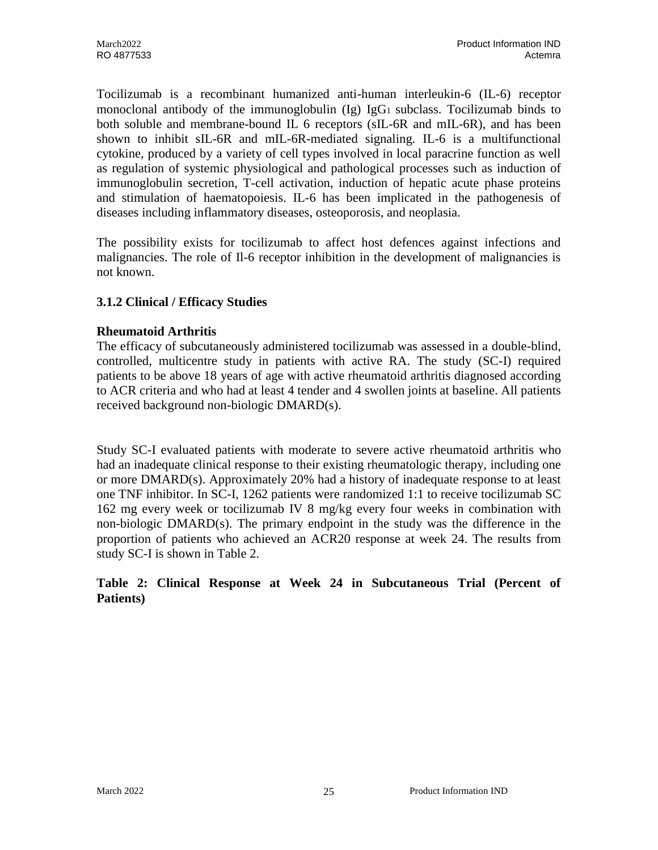Tocilizumab is a recombinant humanized anti-human interleukin-6 (IL-6) receptor monoclonal antibody of the immunoglobulin  $(Ig)$  IgG<sub>1</sub> subclass. To cilizumab binds to both soluble and membrane-bound IL 6 receptors (sIL-6R and mIL-6R), and has been shown to inhibit sIL-6R and mIL-6R-mediated signaling. IL-6 is a multifunctional cytokine, produced by a variety of cell types involved in local paracrine function as well as regulation of systemic physiological and pathological processes such as induction of immunoglobulin secretion, T-cell activation, induction of hepatic acute phase proteins and stimulation of haematopoiesis. IL-6 has been implicated in the pathogenesis of diseases including inflammatory diseases, osteoporosis, and neoplasia.

The possibility exists for tocilizumab to affect host defences against infections and malignancies. The role of Il-6 receptor inhibition in the development of malignancies is not known.

# **3.1.2 Clinical / Efficacy Studies**

# **Rheumatoid Arthritis**

The efficacy of subcutaneously administered tocilizumab was assessed in a double-blind, controlled, multicentre study in patients with active RA. The study (SC-I) required patients to be above 18 years of age with active rheumatoid arthritis diagnosed according to ACR criteria and who had at least 4 tender and 4 swollen joints at baseline. All patients received background non-biologic DMARD(s).

Study SC-I evaluated patients with moderate to severe active rheumatoid arthritis who had an inadequate clinical response to their existing rheumatologic therapy, including one or more DMARD(s). Approximately 20% had a history of inadequate response to at least one TNF inhibitor. In SC-I, 1262 patients were randomized 1:1 to receive tocilizumab SC 162 mg every week or tocilizumab IV 8 mg/kg every four weeks in combination with non-biologic DMARD(s). The primary endpoint in the study was the difference in the proportion of patients who achieved an ACR20 response at week 24. The results from study SC-I is shown in Table 2.

### **Table 2: Clinical Response at Week 24 in Subcutaneous Trial (Percent of Patients)**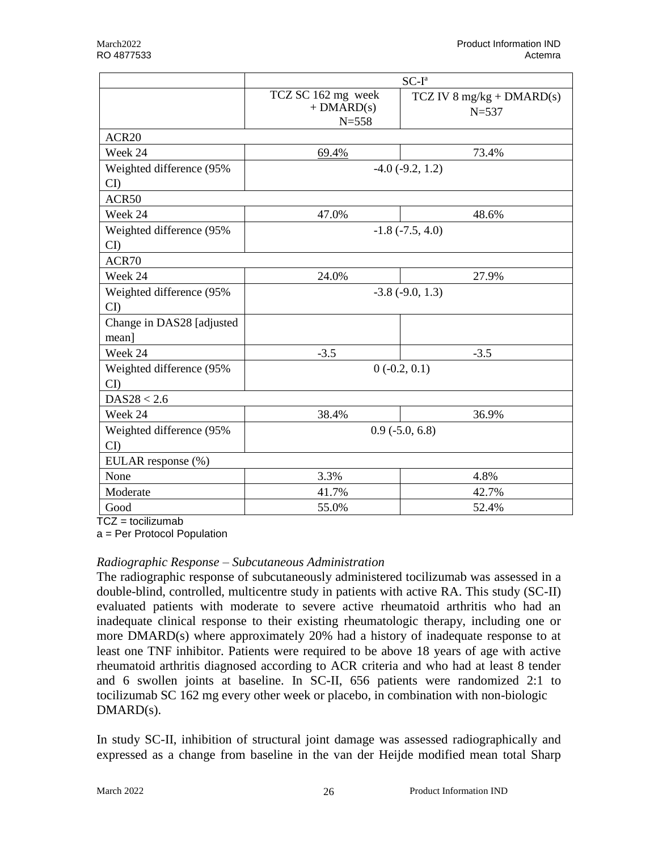|                            | $SC-Ia$                                         |                                                         |  |
|----------------------------|-------------------------------------------------|---------------------------------------------------------|--|
|                            | TCZ SC 162 mg week<br>$+$ DMARD(s)<br>$N = 558$ | TCZ IV $8 \text{ mg/kg} + \text{DMARD(s)}$<br>$N = 537$ |  |
| ACR <sub>20</sub>          |                                                 |                                                         |  |
| Week 24                    | 69.4%                                           | 73.4%                                                   |  |
| Weighted difference (95%   |                                                 | $-4.0$ $(-9.2, 1.2)$                                    |  |
| $\overline{\text{CI}}$     |                                                 |                                                         |  |
| ACR50                      |                                                 |                                                         |  |
| Week 24                    | 47.0%                                           | 48.6%                                                   |  |
| Weighted difference (95%   |                                                 | $-1.8$ $(-7.5, 4.0)$                                    |  |
| $\overline{\text{CI}}$     |                                                 |                                                         |  |
| ACR70                      |                                                 |                                                         |  |
| Week 24                    | 24.0%                                           | 27.9%                                                   |  |
| Weighted difference (95%   |                                                 | $-3.8$ $(-9.0, 1.3)$                                    |  |
| $\mathbf{C}$               |                                                 |                                                         |  |
| Change in DAS28 [adjusted] |                                                 |                                                         |  |
| mean]                      |                                                 |                                                         |  |
| Week 24                    | $-3.5$                                          | $-3.5$                                                  |  |
| Weighted difference (95%   |                                                 | $0(-0.2, 0.1)$                                          |  |
| $\overline{\text{CD}}$     |                                                 |                                                         |  |
| DAS28 < 2.6                |                                                 |                                                         |  |
| Week 24                    | 38.4%                                           | 36.9%                                                   |  |
| Weighted difference (95%   |                                                 | $0.9$ ( $-5.0$ , 6.8)                                   |  |
| $\mathbf{C}$               |                                                 |                                                         |  |
| EULAR response (%)         |                                                 |                                                         |  |
| None                       | 3.3%                                            | 4.8%                                                    |  |
| Moderate                   | 41.7%                                           | 42.7%                                                   |  |
| Good                       | 55.0%                                           | 52.4%                                                   |  |

 $TCZ =$  tocilizumab

a = Per Protocol Population

#### *Radiographic Response – Subcutaneous Administration*

The radiographic response of subcutaneously administered tocilizumab was assessed in a double-blind, controlled, multicentre study in patients with active RA. This study (SC-II) evaluated patients with moderate to severe active rheumatoid arthritis who had an inadequate clinical response to their existing rheumatologic therapy, including one or more DMARD(s) where approximately 20% had a history of inadequate response to at least one TNF inhibitor. Patients were required to be above 18 years of age with active rheumatoid arthritis diagnosed according to ACR criteria and who had at least 8 tender and 6 swollen joints at baseline. In SC-II, 656 patients were randomized 2:1 to tocilizumab SC 162 mg every other week or placebo, in combination with non-biologic DMARD(s).

In study SC-II, inhibition of structural joint damage was assessed radiographically and expressed as a change from baseline in the van der Heijde modified mean total Sharp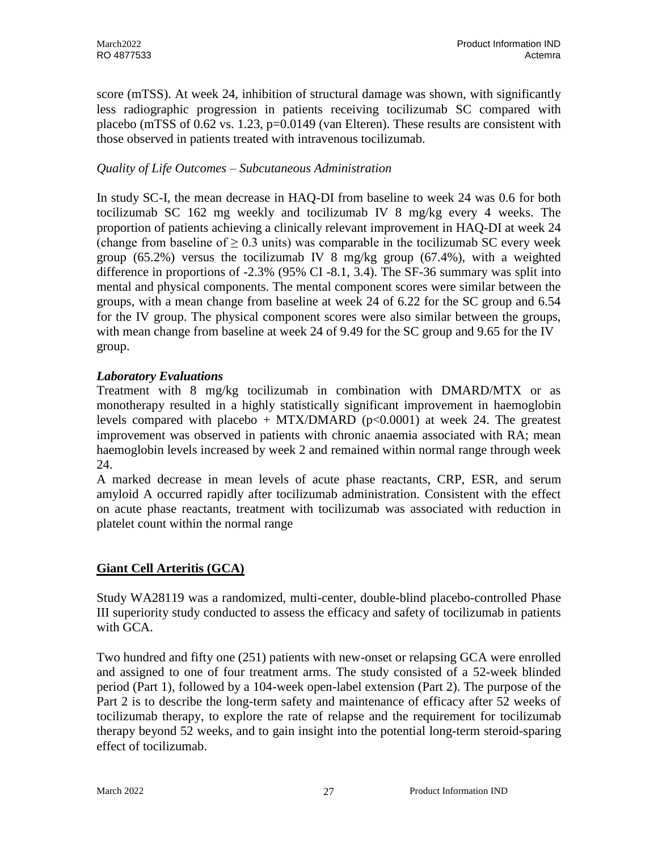score (mTSS). At week 24, inhibition of structural damage was shown, with significantly less radiographic progression in patients receiving tocilizumab SC compared with placebo (mTSS of 0.62 vs. 1.23, p=0.0149 (van Elteren). These results are consistent with those observed in patients treated with intravenous tocilizumab.

# *Quality of Life Outcomes – Subcutaneous Administration*

In study SC-I, the mean decrease in HAQ-DI from baseline to week 24 was 0.6 for both tocilizumab SC 162 mg weekly and tocilizumab IV 8 mg/kg every 4 weeks. The proportion of patients achieving a clinically relevant improvement in HAQ-DI at week 24 (change from baseline of  $> 0.3$  units) was comparable in the tocilizumab SC every week group  $(65.2\%)$  versus the tocilizumab IV 8 mg/kg group  $(67.4\%)$ , with a weighted difference in proportions of -2.3% (95% CI -8.1, 3.4). The SF-36 summary was split into mental and physical components. The mental component scores were similar between the groups, with a mean change from baseline at week 24 of 6.22 for the SC group and 6.54 for the IV group. The physical component scores were also similar between the groups, with mean change from baseline at week 24 of 9.49 for the SC group and 9.65 for the IV group.

# *Laboratory Evaluations*

Treatment with 8 mg/kg tocilizumab in combination with DMARD/MTX or as monotherapy resulted in a highly statistically significant improvement in haemoglobin levels compared with placebo + MTX/DMARD ( $p<0.0001$ ) at week 24. The greatest improvement was observed in patients with chronic anaemia associated with RA; mean haemoglobin levels increased by week 2 and remained within normal range through week 24.

A marked decrease in mean levels of acute phase reactants, CRP, ESR, and serum amyloid A occurred rapidly after tocilizumab administration. Consistent with the effect on acute phase reactants, treatment with tocilizumab was associated with reduction in platelet count within the normal range

# **Giant Cell Arteritis (GCA)**

Study WA28119 was a randomized, multi-center, double-blind placebo-controlled Phase III superiority study conducted to assess the efficacy and safety of tocilizumab in patients with GCA.

Two hundred and fifty one (251) patients with new-onset or relapsing GCA were enrolled and assigned to one of four treatment arms. The study consisted of a 52-week blinded period (Part 1), followed by a 104-week open-label extension (Part 2). The purpose of the Part 2 is to describe the long-term safety and maintenance of efficacy after 52 weeks of tocilizumab therapy, to explore the rate of relapse and the requirement for tocilizumab therapy beyond 52 weeks, and to gain insight into the potential long-term steroid-sparing effect of tocilizumab.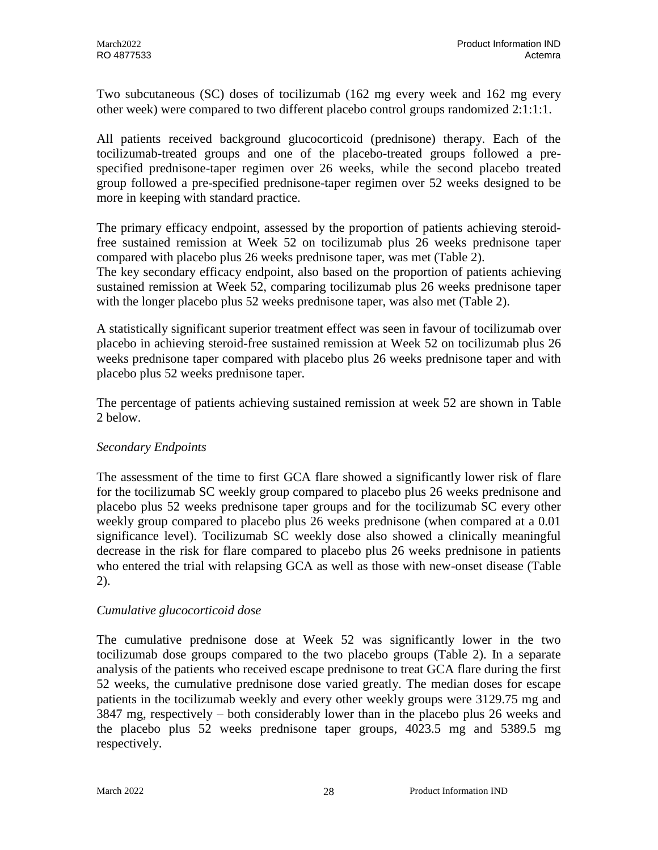Two subcutaneous (SC) doses of tocilizumab (162 mg every week and 162 mg every other week) were compared to two different placebo control groups randomized 2:1:1:1.

All patients received background glucocorticoid (prednisone) therapy. Each of the tocilizumab-treated groups and one of the placebo-treated groups followed a prespecified prednisone-taper regimen over 26 weeks, while the second placebo treated group followed a pre-specified prednisone-taper regimen over 52 weeks designed to be more in keeping with standard practice.

The primary efficacy endpoint, assessed by the proportion of patients achieving steroidfree sustained remission at Week 52 on tocilizumab plus 26 weeks prednisone taper compared with placebo plus 26 weeks prednisone taper, was met (Table 2).

The key secondary efficacy endpoint, also based on the proportion of patients achieving sustained remission at Week 52, comparing tocilizumab plus 26 weeks prednisone taper with the longer placebo plus 52 weeks prednisone taper, was also met (Table 2).

A statistically significant superior treatment effect was seen in favour of tocilizumab over placebo in achieving steroid-free sustained remission at Week 52 on tocilizumab plus 26 weeks prednisone taper compared with placebo plus 26 weeks prednisone taper and with placebo plus 52 weeks prednisone taper.

The percentage of patients achieving sustained remission at week 52 are shown in Table 2 below.

# *Secondary Endpoints*

The assessment of the time to first GCA flare showed a significantly lower risk of flare for the tocilizumab SC weekly group compared to placebo plus 26 weeks prednisone and placebo plus 52 weeks prednisone taper groups and for the tocilizumab SC every other weekly group compared to placebo plus 26 weeks prednisone (when compared at a 0.01 significance level). Tocilizumab SC weekly dose also showed a clinically meaningful decrease in the risk for flare compared to placebo plus 26 weeks prednisone in patients who entered the trial with relapsing GCA as well as those with new-onset disease (Table 2).

#### *Cumulative glucocorticoid dose*

The cumulative prednisone dose at Week 52 was significantly lower in the two tocilizumab dose groups compared to the two placebo groups (Table 2). In a separate analysis of the patients who received escape prednisone to treat GCA flare during the first 52 weeks, the cumulative prednisone dose varied greatly. The median doses for escape patients in the tocilizumab weekly and every other weekly groups were 3129.75 mg and 3847 mg, respectively – both considerably lower than in the placebo plus 26 weeks and the placebo plus 52 weeks prednisone taper groups, 4023.5 mg and 5389.5 mg respectively.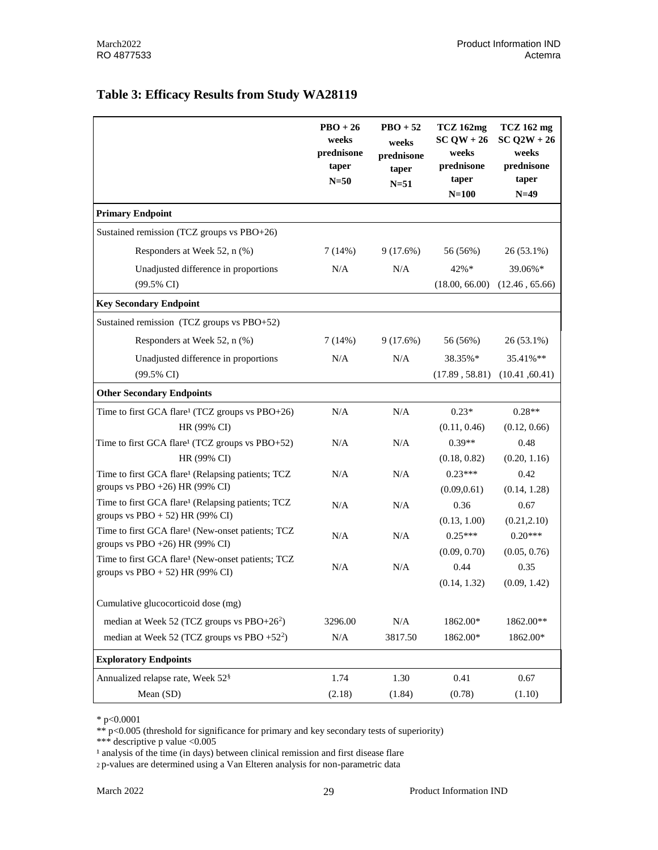### **Table 3: Efficacy Results from Study WA28119**

|                                                                                                     | $PBO + 26$<br>weeks<br>prednisone<br>taper<br>$N=50$ | $PBO + 52$<br>weeks<br>$\bf prednisone$<br>taper<br>$N=51$ | <b>TCZ 162mg</b><br>$SCQW + 26$<br>weeks<br>prednisone<br>taper<br>$N=100$ | <b>TCZ</b> 162 mg<br>$SC$ Q2W + 26<br>weeks<br>prednisone<br>taper<br>$N=49$ |
|-----------------------------------------------------------------------------------------------------|------------------------------------------------------|------------------------------------------------------------|----------------------------------------------------------------------------|------------------------------------------------------------------------------|
| <b>Primary Endpoint</b>                                                                             |                                                      |                                                            |                                                                            |                                                                              |
| Sustained remission (TCZ groups vs PBO+26)                                                          |                                                      |                                                            |                                                                            |                                                                              |
| Responders at Week 52, n (%)                                                                        | 7(14%)                                               | 9(17.6%)                                                   | 56 (56%)                                                                   | $26(53.1\%)$                                                                 |
| Unadjusted difference in proportions                                                                | N/A                                                  | N/A                                                        | $42%$ *                                                                    | 39.06%*                                                                      |
| $(99.5\% \text{ CI})$                                                                               |                                                      |                                                            | (18.00, 66.00)                                                             | (12.46, 65.66)                                                               |
| <b>Key Secondary Endpoint</b>                                                                       |                                                      |                                                            |                                                                            |                                                                              |
| Sustained remission (TCZ groups vs PBO+52)                                                          |                                                      |                                                            |                                                                            |                                                                              |
| Responders at Week 52, n (%)                                                                        | 7(14%)                                               | 9(17.6%)                                                   | 56 (56%)                                                                   | $26(53.1\%)$                                                                 |
| Unadjusted difference in proportions                                                                | N/A                                                  | N/A                                                        | 38.35%*                                                                    | 35.41%**                                                                     |
| $(99.5\% \text{ CI})$                                                                               |                                                      |                                                            | (17.89, 58.81)                                                             | (10.41, 60.41)                                                               |
| <b>Other Secondary Endpoints</b>                                                                    |                                                      |                                                            |                                                                            |                                                                              |
| Time to first GCA flare <sup>1</sup> (TCZ groups vs PBO+26)                                         | N/A                                                  | N/A                                                        | $0.23*$                                                                    | $0.28**$                                                                     |
| HR (99% CI)                                                                                         |                                                      |                                                            | (0.11, 0.46)                                                               | (0.12, 0.66)                                                                 |
| Time to first GCA flare <sup>1</sup> (TCZ groups vs PBO+52)                                         | N/A                                                  | N/A                                                        | $0.39**$                                                                   | 0.48                                                                         |
| HR (99% CI)                                                                                         |                                                      |                                                            | (0.18, 0.82)                                                               | (0.20, 1.16)                                                                 |
| Time to first GCA flare <sup>1</sup> (Relapsing patients; TCZ                                       | N/A                                                  | N/A                                                        | $0.23***$                                                                  | 0.42                                                                         |
| groups vs PBO +26) HR (99% CI)                                                                      |                                                      |                                                            | (0.09, 0.61)                                                               | (0.14, 1.28)                                                                 |
| Time to first GCA flare <sup>1</sup> (Relapsing patients; TCZ                                       | N/A                                                  | N/A                                                        | 0.36                                                                       | 0.67                                                                         |
| groups vs $PBO + 52$ ) HR (99% CI)<br>Time to first GCA flare <sup>1</sup> (New-onset patients; TCZ |                                                      |                                                            | (0.13, 1.00)                                                               | (0.21, 2.10)                                                                 |
| groups vs PBO +26) HR (99% CI)                                                                      | N/A                                                  | N/A                                                        | $0.25***$                                                                  | $0.20***$                                                                    |
| Time to first GCA flare <sup>1</sup> (New-onset patients; TCZ                                       |                                                      |                                                            | (0.09, 0.70)                                                               | (0.05, 0.76)                                                                 |
| groups vs $PBO + 52$ ) HR (99% CI)                                                                  | N/A                                                  | N/A                                                        | 0.44                                                                       | 0.35                                                                         |
|                                                                                                     |                                                      |                                                            | (0.14, 1.32)                                                               | (0.09, 1.42)                                                                 |
| Cumulative glucocorticoid dose (mg)                                                                 |                                                      |                                                            |                                                                            |                                                                              |
| median at Week 52 (TCZ groups vs $PBO+262$ )                                                        | 3296.00                                              | N/A                                                        | 1862.00*                                                                   | 1862.00**                                                                    |
| median at Week 52 (TCZ groups vs PBO $+52^2$ )                                                      | N/A                                                  | 3817.50                                                    | 1862.00*                                                                   | 1862.00*                                                                     |
| <b>Exploratory Endpoints</b>                                                                        |                                                      |                                                            |                                                                            |                                                                              |
| Annualized relapse rate, Week 52 <sup>§</sup>                                                       | 1.74                                                 | 1.30                                                       | 0.41                                                                       | 0.67                                                                         |
| Mean (SD)                                                                                           | (2.18)                                               | (1.84)                                                     | (0.78)                                                                     | (1.10)                                                                       |

\* p<0.0001

\*\* p<0.005 (threshold for significance for primary and key secondary tests of superiority)

\*\*\* descriptive p value <0.005

 $\frac{1}{2}$  analysis of the time (in days) between clinical remission and first disease flare

2 p-values are determined using a Van Elteren analysis for non-parametric data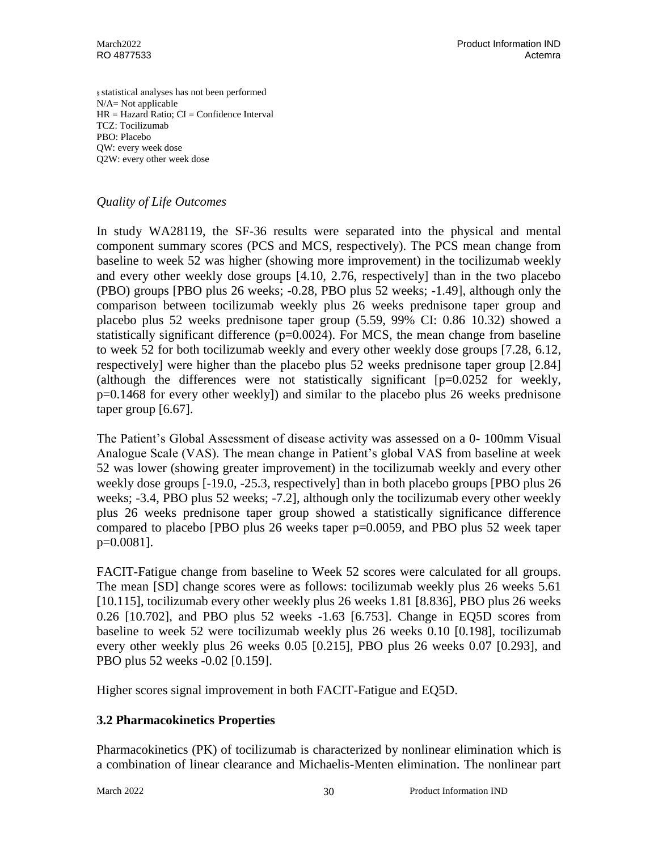§ statistical analyses has not been performed N/A= Not applicable  $HR = Hazard Ratio$ ;  $CI = Confidence Interval$ TCZ: Tocilizumab PBO: Placebo QW: every week dose Q2W: every other week dose

# *Quality of Life Outcomes*

In study WA28119, the SF-36 results were separated into the physical and mental component summary scores (PCS and MCS, respectively). The PCS mean change from baseline to week 52 was higher (showing more improvement) in the tocilizumab weekly and every other weekly dose groups [4.10, 2.76, respectively] than in the two placebo (PBO) groups [PBO plus 26 weeks; -0.28, PBO plus 52 weeks; -1.49], although only the comparison between tocilizumab weekly plus 26 weeks prednisone taper group and placebo plus 52 weeks prednisone taper group (5.59, 99% CI: 0.86 10.32) showed a statistically significant difference  $(p=0.0024)$ . For MCS, the mean change from baseline to week 52 for both tocilizumab weekly and every other weekly dose groups [7.28, 6.12, respectively] were higher than the placebo plus 52 weeks prednisone taper group [2.84] (although the differences were not statistically significant  $[p=0.0252$  for weekly, p=0.1468 for every other weekly]) and similar to the placebo plus 26 weeks prednisone taper group [6.67].

The Patient's Global Assessment of disease activity was assessed on a 0- 100mm Visual Analogue Scale (VAS). The mean change in Patient's global VAS from baseline at week 52 was lower (showing greater improvement) in the tocilizumab weekly and every other weekly dose groups [-19.0, -25.3, respectively] than in both placebo groups [PBO plus 26 weeks; -3.4, PBO plus 52 weeks; -7.2], although only the tocilizumab every other weekly plus 26 weeks prednisone taper group showed a statistically significance difference compared to placebo [PBO plus 26 weeks taper p=0.0059, and PBO plus 52 week taper p=0.0081].

FACIT-Fatigue change from baseline to Week 52 scores were calculated for all groups. The mean [SD] change scores were as follows: tocilizumab weekly plus 26 weeks 5.61 [10.115], tocilizumab every other weekly plus 26 weeks 1.81 [8.836], PBO plus 26 weeks 0.26 [10.702], and PBO plus 52 weeks -1.63 [6.753]. Change in EQ5D scores from baseline to week 52 were tocilizumab weekly plus 26 weeks 0.10 [0.198], tocilizumab every other weekly plus 26 weeks 0.05 [0.215], PBO plus 26 weeks 0.07 [0.293], and PBO plus 52 weeks -0.02 [0.159].

Higher scores signal improvement in both FACIT-Fatigue and EQ5D.

# **3.2 Pharmacokinetics Properties**

Pharmacokinetics (PK) of tocilizumab is characterized by nonlinear elimination which is a combination of linear clearance and Michaelis-Menten elimination. The nonlinear part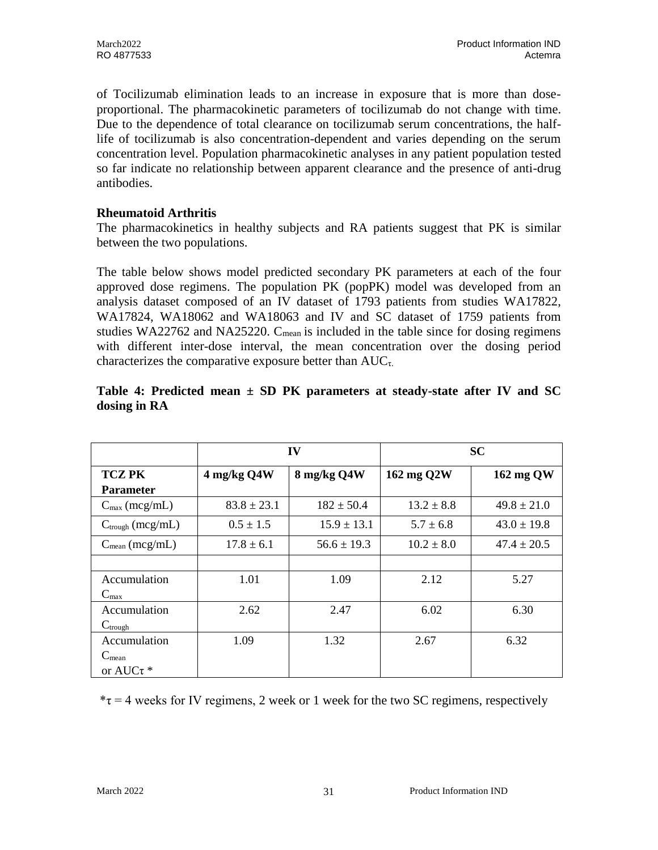of Tocilizumab elimination leads to an increase in exposure that is more than doseproportional. The pharmacokinetic parameters of tocilizumab do not change with time. Due to the dependence of total clearance on tocilizumab serum concentrations, the halflife of tocilizumab is also concentration-dependent and varies depending on the serum concentration level. Population pharmacokinetic analyses in any patient population tested so far indicate no relationship between apparent clearance and the presence of anti-drug antibodies.

### **Rheumatoid Arthritis**

The pharmacokinetics in healthy subjects and RA patients suggest that PK is similar between the two populations.

The table below shows model predicted secondary PK parameters at each of the four approved dose regimens. The population PK (popPK) model was developed from an analysis dataset composed of an IV dataset of 1793 patients from studies WA17822, WA17824, WA18062 and WA18063 and IV and SC dataset of 1759 patients from studies WA22762 and NA25220.  $C_{mean}$  is included in the table since for dosing regimens with different inter-dose interval, the mean concentration over the dosing period characterizes the comparative exposure better than  $AUC_{\tau}$ .

|                              | IV              |                 | <b>SC</b>      |                 |
|------------------------------|-----------------|-----------------|----------------|-----------------|
| <b>TCZ PK</b>                | 4 mg/kg Q4W     | 8 mg/kg Q4W     | 162 mg Q2W     | 162 mg QW       |
| <b>Parameter</b>             |                 |                 |                |                 |
| $C_{\text{max}}$ (mcg/mL)    | $83.8 \pm 23.1$ | $182 \pm 50.4$  | $13.2 \pm 8.8$ | $49.8 \pm 21.0$ |
| $C_{\text{trough}}$ (mcg/mL) | $0.5 \pm 1.5$   | $15.9 \pm 13.1$ | $5.7 \pm 6.8$  | $43.0 \pm 19.8$ |
| $C_{mean}$ (mcg/mL)          | $17.8 \pm 6.1$  | $56.6 \pm 19.3$ | $10.2 \pm 8.0$ | $47.4 \pm 20.5$ |
|                              |                 |                 |                |                 |
| Accumulation                 | 1.01            | 1.09            | 2.12           | 5.27            |
| $C_{\text{max}}$             |                 |                 |                |                 |
| Accumulation                 | 2.62            | 2.47            | 6.02           | 6.30            |
| $C_{\text{trough}}$          |                 |                 |                |                 |
| Accumulation                 | 1.09            | 1.32            | 2.67           | 6.32            |
| $C_{mean}$                   |                 |                 |                |                 |
| or AUC $\tau$ *              |                 |                 |                |                 |

### **Table 4: Predicted mean ± SD PK parameters at steady-state after IV and SC dosing in RA**

 $*\tau = 4$  weeks for IV regimens, 2 week or 1 week for the two SC regimens, respectively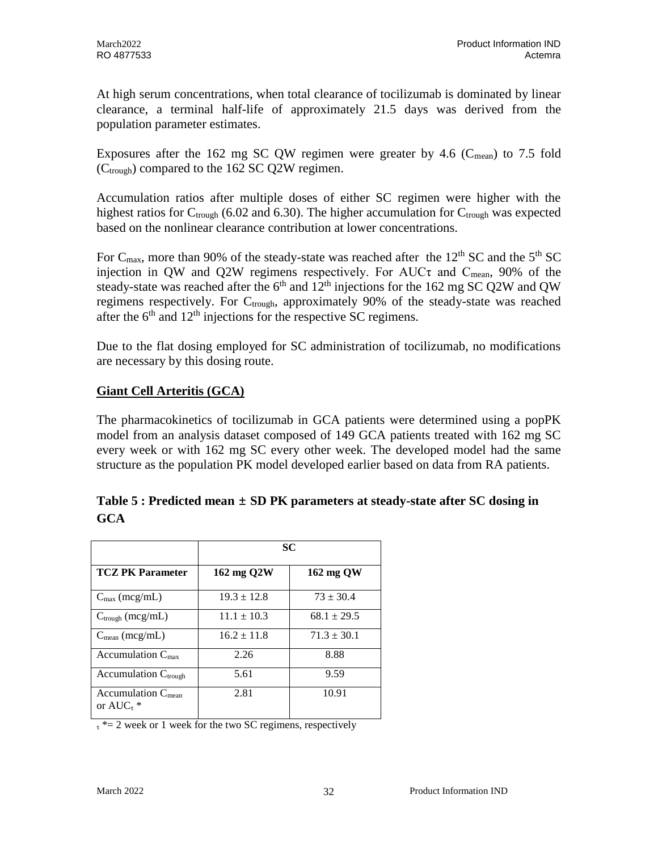At high serum concentrations, when total clearance of tocilizumab is dominated by linear clearance, a terminal half-life of approximately 21.5 days was derived from the population parameter estimates.

Exposures after the 162 mg SC QW regimen were greater by 4.6 ( $C_{mean}$ ) to 7.5 fold  $(C_{\text{trough}})$  compared to the 162 SC Q2W regimen.

Accumulation ratios after multiple doses of either SC regimen were higher with the highest ratios for  $C_{\text{trough}}$  (6.02 and 6.30). The higher accumulation for  $C_{\text{trough}}$  was expected based on the nonlinear clearance contribution at lower concentrations.

For C<sub>max</sub>, more than 90% of the steady-state was reached after the 12<sup>th</sup> SC and the 5<sup>th</sup> SC injection in QW and Q2W regimens respectively. For AUC $\tau$  and  $C_{mean}$ , 90% of the steady-state was reached after the  $6<sup>th</sup>$  and  $12<sup>th</sup>$  injections for the 162 mg SC Q2W and QW regimens respectively. For C<sub>trough</sub>, approximately 90% of the steady-state was reached after the  $6<sup>th</sup>$  and  $12<sup>th</sup>$  injections for the respective SC regimens.

Due to the flat dosing employed for SC administration of tocilizumab, no modifications are necessary by this dosing route.

# **Giant Cell Arteritis (GCA)**

The pharmacokinetics of tocilizumab in GCA patients were determined using a popPK model from an analysis dataset composed of 149 GCA patients treated with 162 mg SC every week or with 162 mg SC every other week. The developed model had the same structure as the population PK model developed earlier based on data from RA patients.

| <b>TCZ PK Parameter</b>                              | SC.             |                 |
|------------------------------------------------------|-----------------|-----------------|
|                                                      | 162 mg Q2W      | 162 mg QW       |
| $C_{\text{max}}$ (mcg/mL)                            | $19.3 \pm 12.8$ | $73 \pm 30.4$   |
| $C_{\text{trough}}$ (mcg/mL)                         | $11.1 \pm 10.3$ | $68.1 \pm 29.5$ |
| $C_{\text{mean}}$ (mcg/mL)                           | $16.2 \pm 11.8$ | $71.3 \pm 30.1$ |
| Accumulation $C_{\text{max}}$                        | 2.26            | 8.88            |
| Accumulation C <sub>trough</sub>                     | 5.61            | 9.59            |
| Accumulation C <sub>mean</sub><br>or AUC $_{\tau}$ * | 2.81            | 10.91           |

# **Table 5 : Predicted mean ± SD PK parameters at steady-state after SC dosing in GCA**

 $\tau^*$  = 2 week or 1 week for the two SC regimens, respectively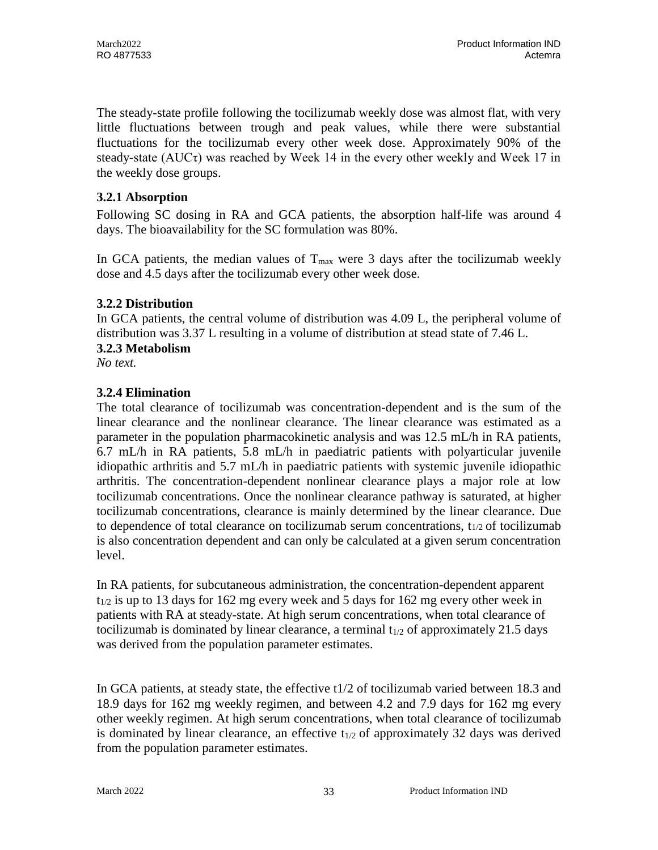The steady-state profile following the tocilizumab weekly dose was almost flat, with very little fluctuations between trough and peak values, while there were substantial fluctuations for the tocilizumab every other week dose. Approximately 90% of the steady-state  $(AUC\tau)$  was reached by Week 14 in the every other weekly and Week 17 in the weekly dose groups.

# **3.2.1 Absorption**

Following SC dosing in RA and GCA patients, the absorption half-life was around 4 days. The bioavailability for the SC formulation was 80%.

In GCA patients, the median values of  $T_{\text{max}}$  were 3 days after the tocilizumab weekly dose and 4.5 days after the tocilizumab every other week dose.

# **3.2.2 Distribution**

In GCA patients, the central volume of distribution was 4.09 L, the peripheral volume of distribution was 3.37 L resulting in a volume of distribution at stead state of 7.46 L.

# **3.2.3 Metabolism**

*No text.*

# **3.2.4 Elimination**

The total clearance of tocilizumab was concentration-dependent and is the sum of the linear clearance and the nonlinear clearance. The linear clearance was estimated as a parameter in the population pharmacokinetic analysis and was 12.5 mL/h in RA patients, 6.7 mL/h in RA patients, 5.8 mL/h in paediatric patients with polyarticular juvenile idiopathic arthritis and 5.7 mL/h in paediatric patients with systemic juvenile idiopathic arthritis. The concentration-dependent nonlinear clearance plays a major role at low tocilizumab concentrations. Once the nonlinear clearance pathway is saturated, at higher tocilizumab concentrations, clearance is mainly determined by the linear clearance. Due to dependence of total clearance on tocilizumab serum concentrations, t1/2 of tocilizumab is also concentration dependent and can only be calculated at a given serum concentration level.

In RA patients, for subcutaneous administration, the concentration-dependent apparent  $t_{1/2}$  is up to 13 days for 162 mg every week and 5 days for 162 mg every other week in patients with RA at steady-state. At high serum concentrations, when total clearance of tocilizumab is dominated by linear clearance, a terminal  $t_{1/2}$  of approximately 21.5 days was derived from the population parameter estimates.

In GCA patients, at steady state, the effective t1/2 of tocilizumab varied between 18.3 and 18.9 days for 162 mg weekly regimen, and between 4.2 and 7.9 days for 162 mg every other weekly regimen. At high serum concentrations, when total clearance of tocilizumab is dominated by linear clearance, an effective  $t_{1/2}$  of approximately 32 days was derived from the population parameter estimates.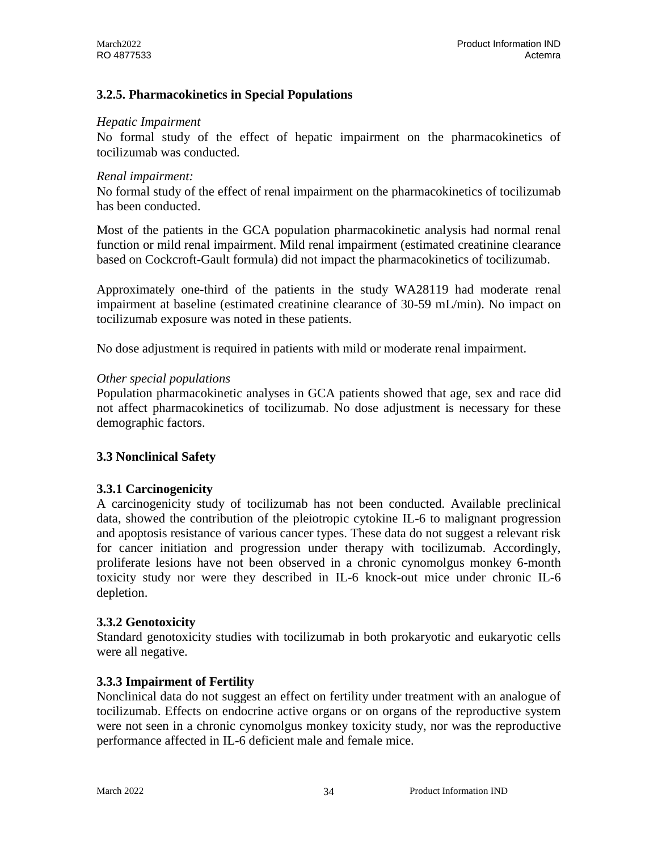# **3.2.5. Pharmacokinetics in Special Populations**

#### *Hepatic Impairment*

No formal study of the effect of hepatic impairment on the pharmacokinetics of tocilizumab was conducted*.*

#### *Renal impairment:*

No formal study of the effect of renal impairment on the pharmacokinetics of tocilizumab has been conducted.

Most of the patients in the GCA population pharmacokinetic analysis had normal renal function or mild renal impairment. Mild renal impairment (estimated creatinine clearance based on Cockcroft-Gault formula) did not impact the pharmacokinetics of tocilizumab.

Approximately one-third of the patients in the study WA28119 had moderate renal impairment at baseline (estimated creatinine clearance of 30-59 mL/min). No impact on tocilizumab exposure was noted in these patients.

No dose adjustment is required in patients with mild or moderate renal impairment.

#### *Other special populations*

Population pharmacokinetic analyses in GCA patients showed that age, sex and race did not affect pharmacokinetics of tocilizumab. No dose adjustment is necessary for these demographic factors.

# **3.3 Nonclinical Safety**

# **3.3.1 Carcinogenicity**

A carcinogenicity study of tocilizumab has not been conducted. Available preclinical data, showed the contribution of the pleiotropic cytokine IL-6 to malignant progression and apoptosis resistance of various cancer types. These data do not suggest a relevant risk for cancer initiation and progression under therapy with tocilizumab. Accordingly, proliferate lesions have not been observed in a chronic cynomolgus monkey 6-month toxicity study nor were they described in IL-6 knock-out mice under chronic IL-6 depletion.

#### **3.3.2 Genotoxicity**

Standard genotoxicity studies with tocilizumab in both prokaryotic and eukaryotic cells were all negative.

# **3.3.3 Impairment of Fertility**

Nonclinical data do not suggest an effect on fertility under treatment with an analogue of tocilizumab. Effects on endocrine active organs or on organs of the reproductive system were not seen in a chronic cynomolgus monkey toxicity study, nor was the reproductive performance affected in IL-6 deficient male and female mice.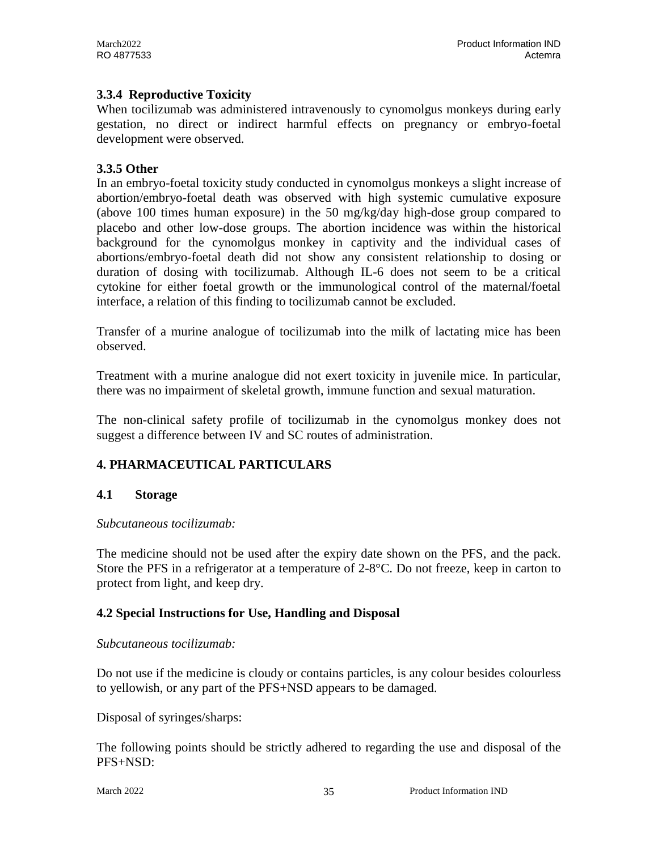# **3.3.4 Reproductive Toxicity**

When tocilizumab was administered intravenously to cynomolgus monkeys during early gestation, no direct or indirect harmful effects on pregnancy or embryo-foetal development were observed.

### **3.3.5 Other**

In an embryo-foetal toxicity study conducted in cynomolgus monkeys a slight increase of abortion/embryo-foetal death was observed with high systemic cumulative exposure (above 100 times human exposure) in the 50 mg/kg/day high-dose group compared to placebo and other low-dose groups. The abortion incidence was within the historical background for the cynomolgus monkey in captivity and the individual cases of abortions/embryo-foetal death did not show any consistent relationship to dosing or duration of dosing with tocilizumab. Although IL-6 does not seem to be a critical cytokine for either foetal growth or the immunological control of the maternal/foetal interface, a relation of this finding to tocilizumab cannot be excluded.

Transfer of a murine analogue of tocilizumab into the milk of lactating mice has been observed.

Treatment with a murine analogue did not exert toxicity in juvenile mice. In particular, there was no impairment of skeletal growth, immune function and sexual maturation.

The non-clinical safety profile of tocilizumab in the cynomolgus monkey does not suggest a difference between IV and SC routes of administration.

# **4. PHARMACEUTICAL PARTICULARS**

#### **4.1 Storage**

#### *Subcutaneous tocilizumab:*

The medicine should not be used after the expiry date shown on the PFS, and the pack. Store the PFS in a refrigerator at a temperature of 2-8°C. Do not freeze, keep in carton to protect from light, and keep dry.

#### **4.2 Special Instructions for Use, Handling and Disposal**

#### *Subcutaneous tocilizumab:*

Do not use if the medicine is cloudy or contains particles, is any colour besides colourless to yellowish, or any part of the PFS+NSD appears to be damaged.

Disposal of syringes/sharps:

The following points should be strictly adhered to regarding the use and disposal of the PFS+NSD: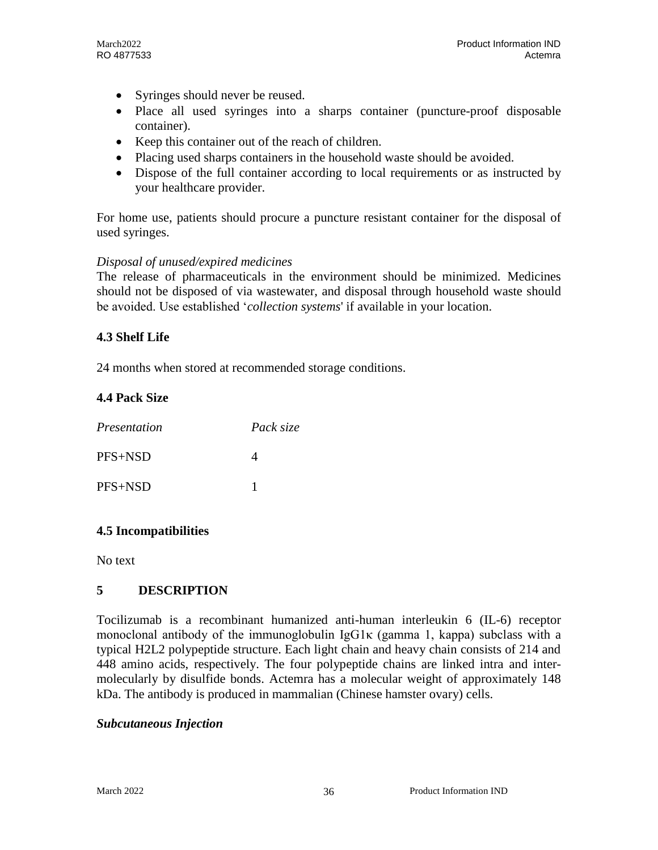- Syringes should never be reused.
- Place all used syringes into a sharps container (puncture-proof disposable container).
- Keep this container out of the reach of children.
- Placing used sharps containers in the household waste should be avoided.
- Dispose of the full container according to local requirements or as instructed by your healthcare provider.

For home use, patients should procure a puncture resistant container for the disposal of used syringes.

### *Disposal of unused/expired medicines*

The release of pharmaceuticals in the environment should be minimized. Medicines should not be disposed of via wastewater, and disposal through household waste should be avoided. Use established '*collection systems*' if available in your location.

### **4.3 Shelf Life**

24 months when stored at recommended storage conditions.

# **4.4 Pack Size**

| Presentation | Pack size |
|--------------|-----------|
| $PFS + NSD$  |           |
| PFS+NSD      |           |

# **4.5 Incompatibilities**

No text

# **5 DESCRIPTION**

Tocilizumab is a recombinant humanized anti-human interleukin 6 (IL-6) receptor monoclonal antibody of the immunoglobulin  $I_{\mathcal{B}}G1\kappa$  (gamma 1, kappa) subclass with a typical H2L2 polypeptide structure. Each light chain and heavy chain consists of 214 and 448 amino acids, respectively. The four polypeptide chains are linked intra and intermolecularly by disulfide bonds. Actemra has a molecular weight of approximately 148 kDa. The antibody is produced in mammalian (Chinese hamster ovary) cells.

# *Subcutaneous Injection*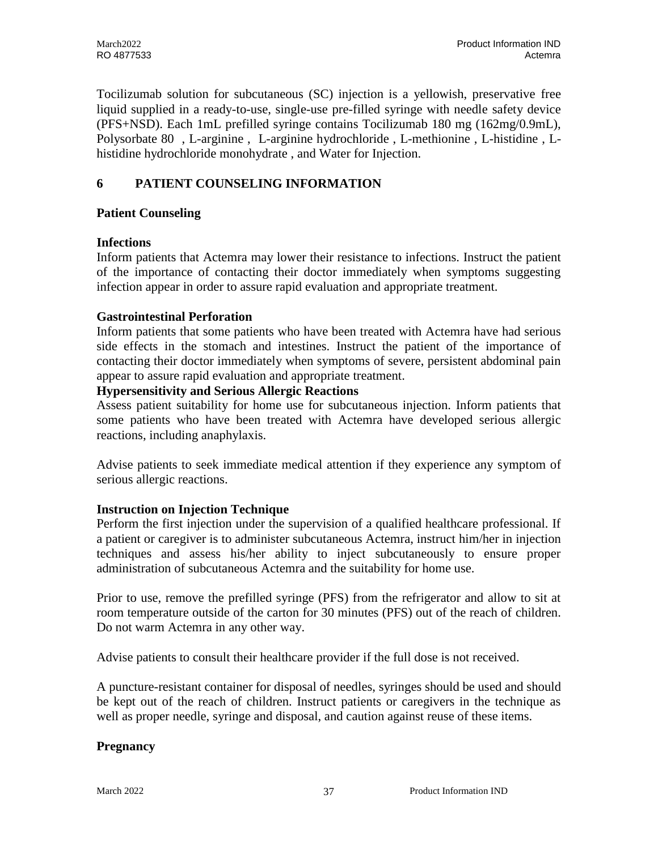Tocilizumab solution for subcutaneous (SC) injection is a yellowish, preservative free liquid supplied in a ready-to-use, single-use pre-filled syringe with needle safety device (PFS+NSD). Each 1mL prefilled syringe contains Tocilizumab 180 mg (162mg/0.9mL), Polysorbate 80 , L-arginine , L-arginine hydrochloride , L-methionine , L-histidine , Lhistidine hydrochloride monohydrate , and Water for Injection.

# **6 PATIENT COUNSELING INFORMATION**

# **Patient Counseling**

### **Infections**

Inform patients that Actemra may lower their resistance to infections. Instruct the patient of the importance of contacting their doctor immediately when symptoms suggesting infection appear in order to assure rapid evaluation and appropriate treatment.

### **Gastrointestinal Perforation**

Inform patients that some patients who have been treated with Actemra have had serious side effects in the stomach and intestines. Instruct the patient of the importance of contacting their doctor immediately when symptoms of severe, persistent abdominal pain appear to assure rapid evaluation and appropriate treatment.

#### **Hypersensitivity and Serious Allergic Reactions**

Assess patient suitability for home use for subcutaneous injection. Inform patients that some patients who have been treated with Actemra have developed serious allergic reactions, including anaphylaxis.

Advise patients to seek immediate medical attention if they experience any symptom of serious allergic reactions.

# **Instruction on Injection Technique**

Perform the first injection under the supervision of a qualified healthcare professional. If a patient or caregiver is to administer subcutaneous Actemra, instruct him/her in injection techniques and assess his/her ability to inject subcutaneously to ensure proper administration of subcutaneous Actemra and the suitability for home use.

Prior to use, remove the prefilled syringe (PFS) from the refrigerator and allow to sit at room temperature outside of the carton for 30 minutes (PFS) out of the reach of children. Do not warm Actemra in any other way.

Advise patients to consult their healthcare provider if the full dose is not received.

A puncture-resistant container for disposal of needles, syringes should be used and should be kept out of the reach of children. Instruct patients or caregivers in the technique as well as proper needle, syringe and disposal, and caution against reuse of these items.

#### **Pregnancy**